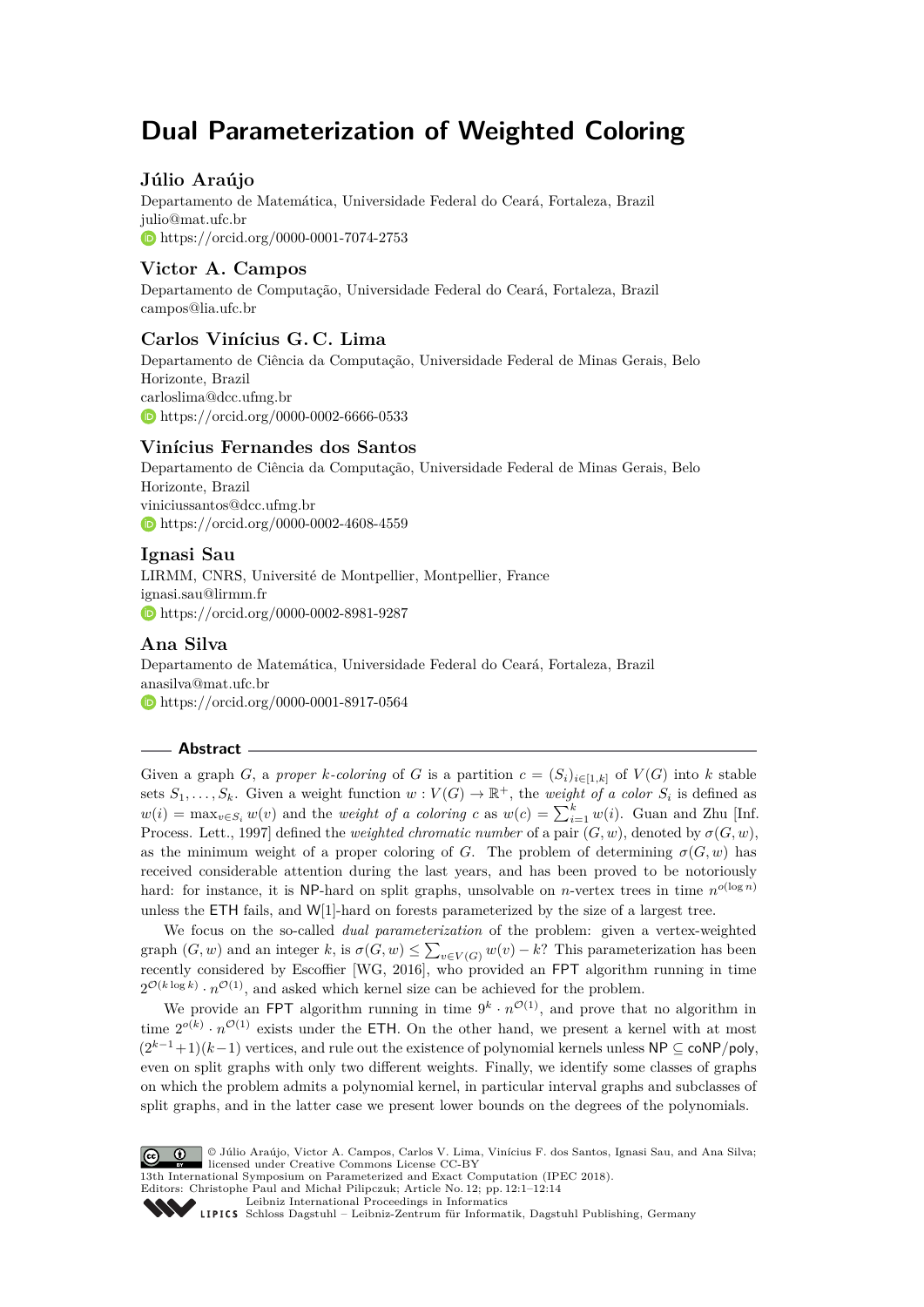# **Dual Parameterization of Weighted Coloring**

# **Júlio Araújo**

Departamento de Matemática, Universidade Federal do Ceará, Fortaleza, Brazil [julio@mat.ufc.br](mailto:julio@mat.ufc.br) <https://orcid.org/0000-0001-7074-2753>

# **Victor A. Campos**

Departamento de Computação, Universidade Federal do Ceará, Fortaleza, Brazil [campos@lia.ufc.br](mailto:campos@lia.ufc.br)

# **Carlos Vinícius G. C. Lima**

Departamento de Ciência da Computação, Universidade Federal de Minas Gerais, Belo Horizonte, Brazil [carloslima@dcc.ufmg.br](mailto:carloslima@dcc.ufmg.br) <https://orcid.org/0000-0002-6666-0533>

## **Vinícius Fernandes dos Santos**

Departamento de Ciência da Computação, Universidade Federal de Minas Gerais, Belo Horizonte, Brazil [viniciussantos@dcc.ufmg.br](mailto:viniciussantos@dcc.ufmg.br) <https://orcid.org/0000-0002-4608-4559>

# **Ignasi Sau**

LIRMM, CNRS, Université de Montpellier, Montpellier, France [ignasi.sau@lirmm.fr](mailto:ignasi.sau@lirmm.fr) <https://orcid.org/0000-0002-8981-9287>

# **Ana Silva**

Departamento de Matemática, Universidade Federal do Ceará, Fortaleza, Brazil [anasilva@mat.ufc.br](mailto:anasilva@mat.ufc.br) <https://orcid.org/0000-0001-8917-0564>

## **Abstract**

Given a graph *G*, a *proper k-coloring* of *G* is a partition  $c = (S_i)_{i \in [1,k]}$  of  $V(G)$  into *k* stable sets  $S_1, \ldots, S_k$ . Given a weight function  $w: V(G) \to \mathbb{R}^+$ , the *weight of a color*  $S_i$  is defined as  $w(i) = \max_{v \in S_i} w(v)$  and the *weight of a coloring c* as  $w(c) = \sum_{i=1}^k w(i)$ . Guan and Zhu [Inf. Process. Lett., 1997] defined the *weighted chromatic number* of a pair  $(G, w)$ , denoted by  $\sigma(G, w)$ , as the minimum weight of a proper coloring of *G*. The problem of determining  $\sigma(G, w)$  has received considerable attention during the last years, and has been proved to be notoriously hard: for instance, it is NP-hard on split graphs, unsolvable on *n*-vertex trees in time  $n^{o(\log n)}$ unless the ETH fails, and W[1]-hard on forests parameterized by the size of a largest tree.

We focus on the so-called *dual parameterization* of the problem: given a vertex-weighted graph  $(G, w)$  and an integer  $k$ , is  $\sigma(G, w) \le \sum_{v \in V(G)} w(v) - k$ ? This parameterization has been recently considered by Escoffier [WG, 2016], who provided an FPT algorithm running in time  $2^{\mathcal{O}(k \log k)} \cdot n^{\mathcal{O}(1)}$ , and asked which kernel size can be achieved for the problem.

We provide an FPT algorithm running in time  $9^k \cdot n^{\mathcal{O}(1)}$ , and prove that no algorithm in time  $2^{o(k)} \cdot n^{\mathcal{O}(1)}$  exists under the ETH. On the other hand, we present a kernel with at most (2*<sup>k</sup>*−<sup>1</sup>+1)(*k*−1) vertices, and rule out the existence of polynomial kernels unless NP ⊆ coNP*/*poly, even on split graphs with only two different weights. Finally, we identify some classes of graphs on which the problem admits a polynomial kernel, in particular interval graphs and subclasses of split graphs, and in the latter case we present lower bounds on the degrees of the polynomials.



13th International Symposium on Parameterized and Exact Computation (IPEC 2018).

Editors: Christophe Paul and Michał Pilipczuk; Article No. 12; pp. 12:1–12[:14](#page-13-0) [Leibniz International Proceedings in Informatics](http://www.dagstuhl.de/lipics/)

[Schloss Dagstuhl – Leibniz-Zentrum für Informatik, Dagstuhl Publishing, Germany](http://www.dagstuhl.de)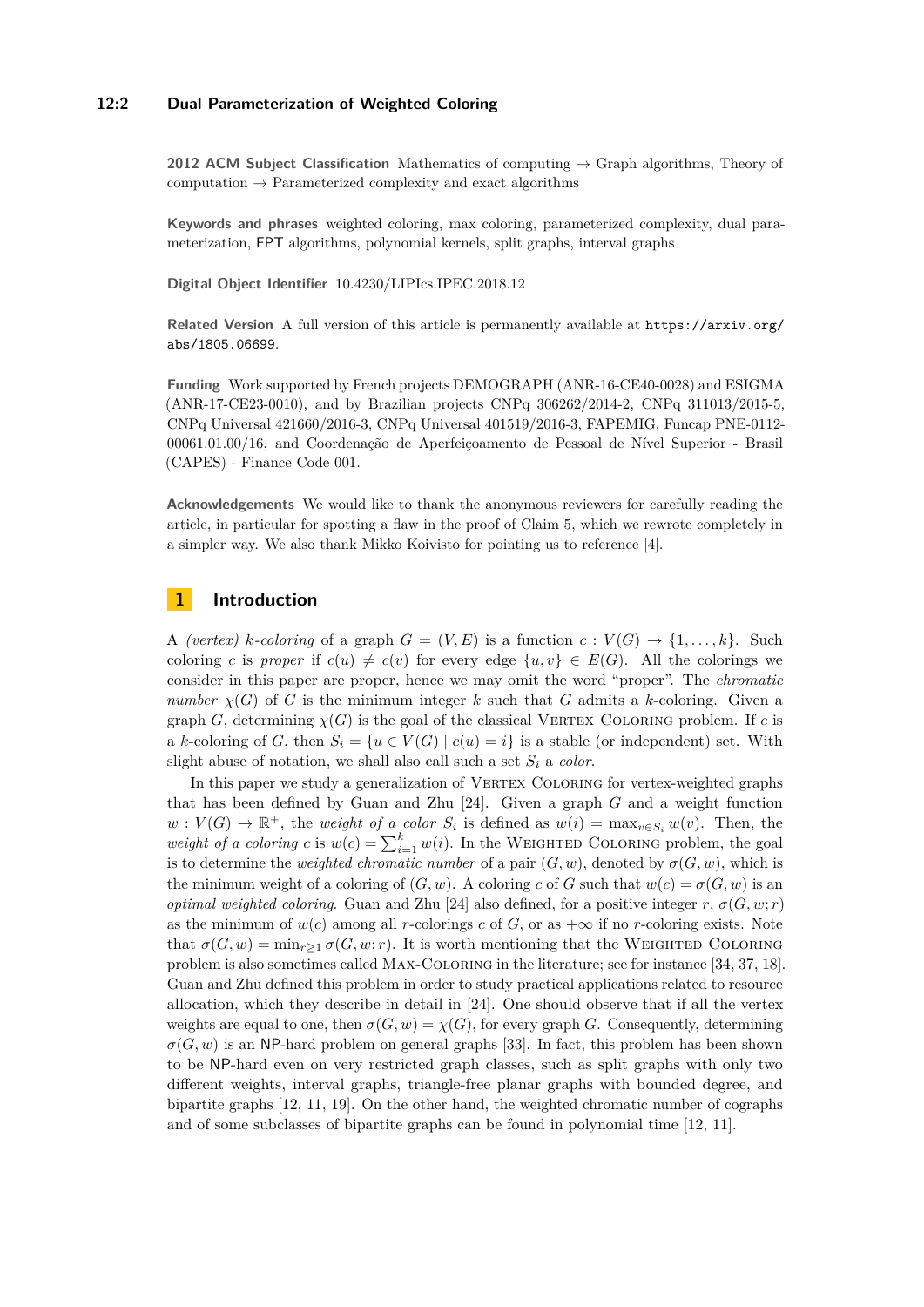## **12:2 Dual Parameterization of Weighted Coloring**

**2012 ACM Subject Classification** Mathematics of computing → Graph algorithms, Theory of computation  $\rightarrow$  Parameterized complexity and exact algorithms

**Keywords and phrases** weighted coloring, max coloring, parameterized complexity, dual parameterization, FPT algorithms, polynomial kernels, split graphs, interval graphs

**Digital Object Identifier** [10.4230/LIPIcs.IPEC.2018.12](https://doi.org/10.4230/LIPIcs.IPEC.2018.12)

**Related Version** A full version of this article is permanently available at [https://arxiv.org/](https://arxiv.org/abs/1805.06699) [abs/1805.06699](https://arxiv.org/abs/1805.06699).

**Funding** Work supported by French projects DEMOGRAPH (ANR-16-CE40-0028) and ESIGMA (ANR-17-CE23-0010), and by Brazilian projects CNPq 306262/2014-2, CNPq 311013/2015-5, CNPq Universal 421660/2016-3, CNPq Universal 401519/2016-3, FAPEMIG, Funcap PNE-0112- 00061.01.00/16, and Coordenação de Aperfeiçoamento de Pessoal de Nível Superior - Brasil (CAPES) - Finance Code 001.

**Acknowledgements** We would like to thank the anonymous reviewers for carefully reading the article, in particular for spotting a flaw in the proof of Claim [5,](#page-9-0) which we rewrote completely in a simpler way. We also thank Mikko Koivisto for pointing us to reference [\[4\]](#page-12-0).

# **1 Introduction**

A *(vertex)*  $k$ *-coloring* of a graph  $G = (V, E)$  is a function  $c : V(G) \rightarrow \{1, \ldots, k\}$ . Such coloring *c* is *proper* if  $c(u) \neq c(v)$  for every edge  $\{u, v\} \in E(G)$ . All the colorings we consider in this paper are proper, hence we may omit the word "proper". The *chromatic number*  $\chi(G)$  of *G* is the minimum integer *k* such that *G* admits a *k*-coloring. Given a graph *G*, determining  $\chi(G)$  is the goal of the classical VERTEX COLORING problem. If *c* is a *k*-coloring of *G*, then  $S_i = \{u \in V(G) \mid c(u) = i\}$  is a stable (or independent) set. With slight abuse of notation, we shall also call such a set  $S_i$  a *color*.

In this paper we study a generalization of VERTEX COLORING for vertex-weighted graphs that has been defined by Guan and Zhu [\[24\]](#page-13-1). Given a graph *G* and a weight function  $w: V(G) \to \mathbb{R}^+$ , the *weight of a color*  $S_i$  is defined as  $w(i) = \max_{v \in S_i} w(v)$ . Then, the *weight of a coloring c* is  $w(c) = \sum_{i=1}^{k} w(i)$ . In the WEIGHTED COLORING problem, the goal is to determine the *weighted chromatic number* of a pair  $(G, w)$ , denoted by  $\sigma(G, w)$ , which is the minimum weight of a coloring of  $(G, w)$ . A coloring *c* of *G* such that  $w(c) = \sigma(G, w)$  is an *optimal weighted coloring*. Guan and Zhu [\[24\]](#page-13-1) also defined, for a positive integer  $r$ ,  $\sigma(G, w; r)$ as the minimum of  $w(c)$  among all *r*-colorings *c* of *G*, or as  $+\infty$  if no *r*-coloring exists. Note that  $\sigma(G, w) = \min_{r>1} \sigma(G, w; r)$ . It is worth mentioning that the WEIGHTED COLORING problem is also sometimes called Max-Coloring in the literature; see for instance [\[34,](#page-13-2) [37,](#page-13-3) [18\]](#page-12-1). Guan and Zhu defined this problem in order to study practical applications related to resource allocation, which they describe in detail in [\[24\]](#page-13-1). One should observe that if all the vertex weights are equal to one, then  $\sigma(G, w) = \chi(G)$ , for every graph *G*. Consequently, determining  $\sigma(G, w)$  is an NP-hard problem on general graphs [\[33\]](#page-13-4). In fact, this problem has been shown to be NP-hard even on very restricted graph classes, such as split graphs with only two different weights, interval graphs, triangle-free planar graphs with bounded degree, and bipartite graphs [\[12,](#page-12-2) [11,](#page-12-3) [19\]](#page-12-4). On the other hand, the weighted chromatic number of cographs and of some subclasses of bipartite graphs can be found in polynomial time [\[12,](#page-12-2) [11\]](#page-12-3).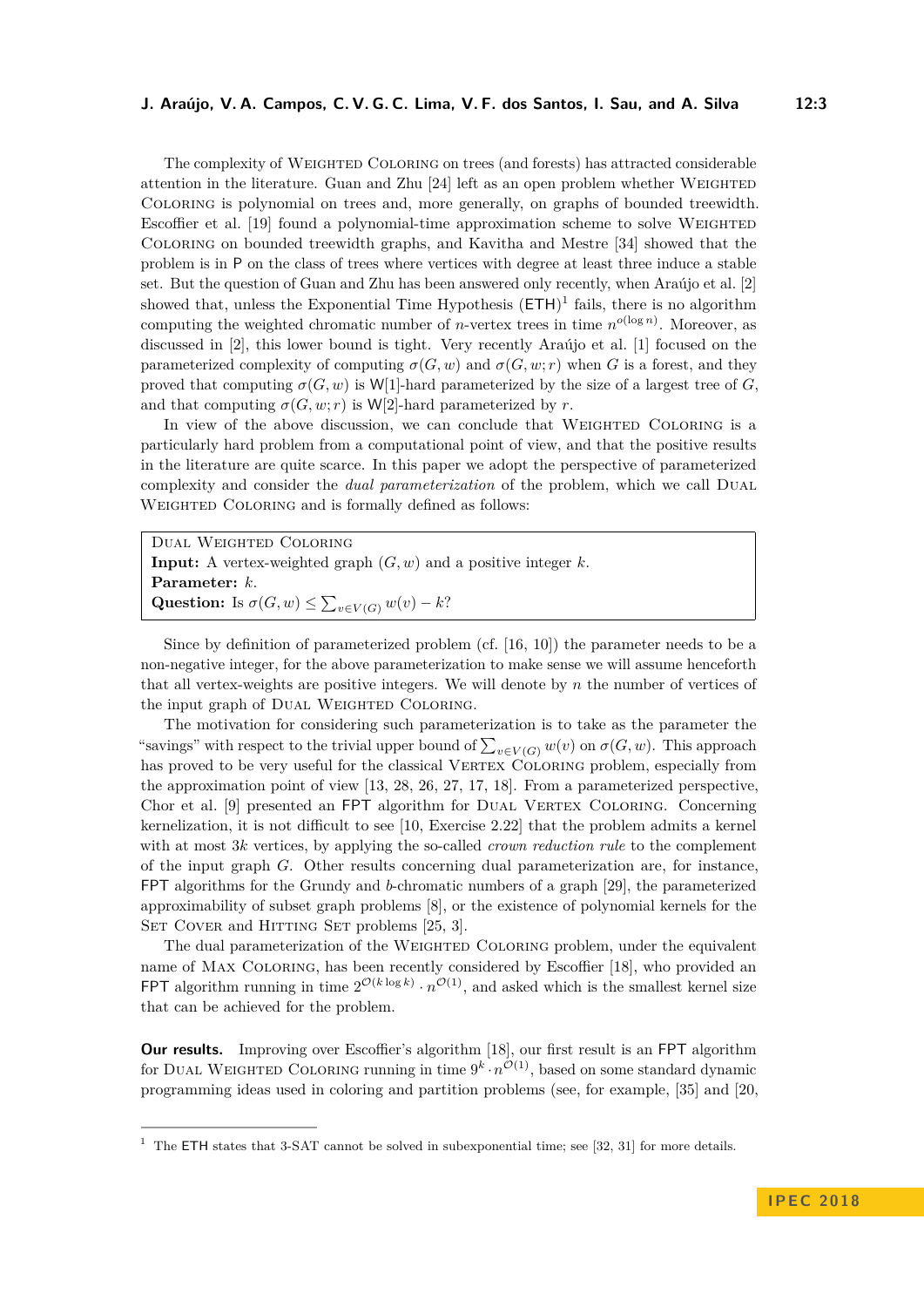The complexity of WEIGHTED COLORING on trees (and forests) has attracted considerable attention in the literature. Guan and Zhu [\[24\]](#page-13-1) left as an open problem whether WEIGHTED Coloring is polynomial on trees and, more generally, on graphs of bounded treewidth. Escoffier et al. [\[19\]](#page-12-4) found a polynomial-time approximation scheme to solve WEIGHTED Coloring on bounded treewidth graphs, and Kavitha and Mestre [\[34\]](#page-13-2) showed that the problem is in P on the class of trees where vertices with degree at least three induce a stable set. But the question of Guan and Zhu has been answered only recently, when Araújo et al. [\[2\]](#page-11-0) showed that, unless the Exponential Time Hypothesis  $(ETH)^1$  $(ETH)^1$  fails, there is no algorithm computing the weighted chromatic number of *n*-vertex trees in time  $n^{o(\log n)}$ . Moreover, as discussed in [\[2\]](#page-11-0), this lower bound is tight. Very recently Araújo et al. [\[1\]](#page-11-1) focused on the parameterized complexity of computing  $\sigma(G, w)$  and  $\sigma(G, w; r)$  when *G* is a forest, and they

and that computing  $\sigma(G, w; r)$  is W[2]-hard parameterized by *r*. In view of the above discussion, we can conclude that WEIGHTED COLORING is a particularly hard problem from a computational point of view, and that the positive results in the literature are quite scarce. In this paper we adopt the perspective of parameterized complexity and consider the *dual parameterization* of the problem, which we call Dual WEIGHTED COLORING and is formally defined as follows:

proved that computing  $\sigma(G, w)$  is W[1]-hard parameterized by the size of a largest tree of *G*,

Dual Weighted Coloring **Input:** A vertex-weighted graph  $(G, w)$  and a positive integer  $k$ . **Parameter:** *k*. **Question:** Is  $\sigma(G, w) \le \sum_{v \in V(G)} w(v) - k$ ?

Since by definition of parameterized problem (cf. [\[16,](#page-12-5) [10\]](#page-12-6)) the parameter needs to be a non-negative integer, for the above parameterization to make sense we will assume henceforth that all vertex-weights are positive integers. We will denote by *n* the number of vertices of the input graph of DUAL WEIGHTED COLORING.

The motivation for considering such parameterization is to take as the parameter the "savings" with respect to the trivial upper bound of  $\sum_{v \in V(G)} w(v)$  on  $\sigma(G, w)$ . This approach has proved to be very useful for the classical VERTEX COLORING problem, especially from the approximation point of view [\[13,](#page-12-7) [28,](#page-13-5) [26,](#page-13-6) [27,](#page-13-7) [17,](#page-12-8) [18\]](#page-12-1). From a parameterized perspective, Chor et al. [\[9\]](#page-12-9) presented an FPT algorithm for DUAL VERTEX COLORING. Concerning kernelization, it is not difficult to see [\[10,](#page-12-6) Exercise 2.22] that the problem admits a kernel with at most 3*k* vertices, by applying the so-called *crown reduction rule* to the complement of the input graph *G*. Other results concerning dual parameterization are, for instance, FPT algorithms for the Grundy and *b*-chromatic numbers of a graph [\[29\]](#page-13-8), the parameterized approximability of subset graph problems [\[8\]](#page-12-10), or the existence of polynomial kernels for the SET COVER and HITTING SET problems [\[25,](#page-13-9) [3\]](#page-12-11).

The dual parameterization of the WEIGHTED COLORING problem, under the equivalent name of Max Coloring, has been recently considered by Escoffier [\[18\]](#page-12-1), who provided an FPT algorithm running in time  $2^{\mathcal{O}(k \log k)} \cdot n^{\mathcal{O}(1)}$ , and asked which is the smallest kernel size that can be achieved for the problem.

**Our results.** Improving over Escoffier's algorithm [\[18\]](#page-12-1), our first result is an FPT algorithm for DUAL WEIGHTED COLORING running in time  $9^k \cdot n^{\mathcal{O}(1)}$ , based on some standard dynamic programming ideas used in coloring and partition problems (see, for example, [\[35\]](#page-13-10) and [\[20,](#page-12-12)

<span id="page-2-0"></span><sup>&</sup>lt;sup>1</sup> The ETH states that 3-SAT cannot be solved in subexponential time; see [\[32,](#page-13-11) [31\]](#page-13-12) for more details.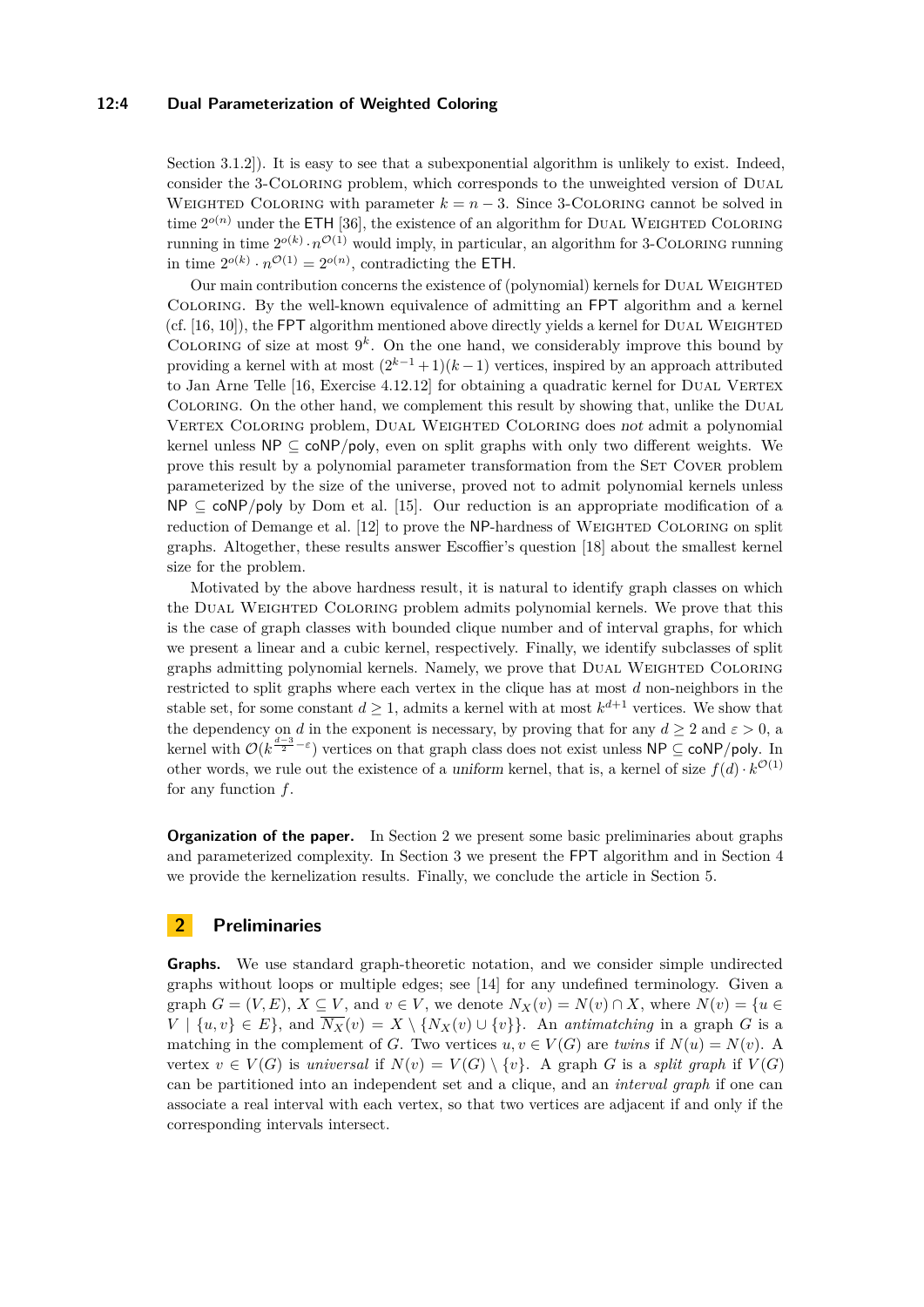## **12:4 Dual Parameterization of Weighted Coloring**

Section 3.1.2.]. It is easy to see that a subexponential algorithm is unlikely to exist. Indeed, consider the 3-Coloring problem, which corresponds to the unweighted version of Dual WEIGHTED COLORING with parameter  $k = n - 3$ . Since 3-COLORING cannot be solved in time  $2^{o(n)}$  under the ETH [\[36\]](#page-13-13), the existence of an algorithm for DUAL WEIGHTED COLORING running in time  $2^{o(k)} \cdot n^{\mathcal{O}(1)}$  would imply, in particular, an algorithm for 3-COLORING running in time  $2^{o(k)} \cdot n^{\mathcal{O}(1)} = 2^{o(n)}$ , contradicting the ETH.

Our main contribution concerns the existence of (polynomial) kernels for DUAL WEIGHTED Coloring. By the well-known equivalence of admitting an FPT algorithm and a kernel  $(cf. [16, 10])$  $(cf. [16, 10])$  $(cf. [16, 10])$  $(cf. [16, 10])$  $(cf. [16, 10])$ , the FPT algorithm mentioned above directly yields a kernel for DUAL WEIGHTED COLORING of size at most  $9^k$ . On the one hand, we considerably improve this bound by providing a kernel with at most  $(2^{k-1} + 1)(k-1)$  vertices, inspired by an approach attributed to Jan Arne Telle [\[16,](#page-12-5) Exercise 4.12.12] for obtaining a quadratic kernel for DUAL VERTEX Coloring. On the other hand, we complement this result by showing that, unlike the Dual Vertex Coloring problem, Dual Weighted Coloring does not admit a polynomial kernel unless  $NP \subseteq \mathsf{coNP/poly}$ , even on split graphs with only two different weights. We prove this result by a polynomial parameter transformation from the SET COVER problem parameterized by the size of the universe, proved not to admit polynomial kernels unless NP ⊆ coNP*/*poly by Dom et al. [\[15\]](#page-12-13). Our reduction is an appropriate modification of a reduction of Demange et al. [\[12\]](#page-12-2) to prove the NP-hardness of WEIGHTED COLORING on split graphs. Altogether, these results answer Escoffier's question [\[18\]](#page-12-1) about the smallest kernel size for the problem.

Motivated by the above hardness result, it is natural to identify graph classes on which the Dual Weighted Coloring problem admits polynomial kernels. We prove that this is the case of graph classes with bounded clique number and of interval graphs, for which we present a linear and a cubic kernel, respectively. Finally, we identify subclasses of split graphs admitting polynomial kernels. Namely, we prove that Dual Weighted Coloring restricted to split graphs where each vertex in the clique has at most *d* non-neighbors in the stable set, for some constant  $d \geq 1$ , admits a kernel with at most  $k^{d+1}$  vertices. We show that the dependency on *d* in the exponent is necessary, by proving that for any  $d \geq 2$  and  $\varepsilon > 0$ , a kernel with  $\mathcal{O}(k^{\frac{d-3}{2}-\varepsilon})$  vertices on that graph class does not exist unless  $\mathsf{NP} \subseteq \mathsf{coNP/poly}$ . In other words, we rule out the existence of a *uniform* kernel, that is, a kernel of size  $f(d) \cdot k^{\mathcal{O}(1)}$ for any function *f*.

**Organization of the paper.** In Section [2](#page-3-0) we present some basic preliminaries about graphs and parameterized complexity. In Section [3](#page-4-0) we present the FPT algorithm and in Section [4](#page-5-0) we provide the kernelization results. Finally, we conclude the article in Section [5.](#page-11-2)

# <span id="page-3-0"></span>**2 Preliminaries**

**Graphs.** We use standard graph-theoretic notation, and we consider simple undirected graphs without loops or multiple edges; see [\[14\]](#page-12-14) for any undefined terminology. Given a graph  $G = (V, E), X \subseteq V$ , and  $v \in V$ , we denote  $N_X(v) = N(v) \cap X$ , where  $N(v) = \{u \in V, v \in V\}$  $V \mid \{u, v\} \in E\}$ , and  $\overline{N_X}(v) = X \setminus \{N_X(v) \cup \{v\}\}\$ . An *antimatching* in a graph *G* is a matching in the complement of *G*. Two vertices  $u, v \in V(G)$  are *twins* if  $N(u) = N(v)$ . A vertex  $v \in V(G)$  is *universal* if  $N(v) = V(G) \setminus \{v\}$ . A graph *G* is a *split graph* if  $V(G)$ can be partitioned into an independent set and a clique, and an *interval graph* if one can associate a real interval with each vertex, so that two vertices are adjacent if and only if the corresponding intervals intersect.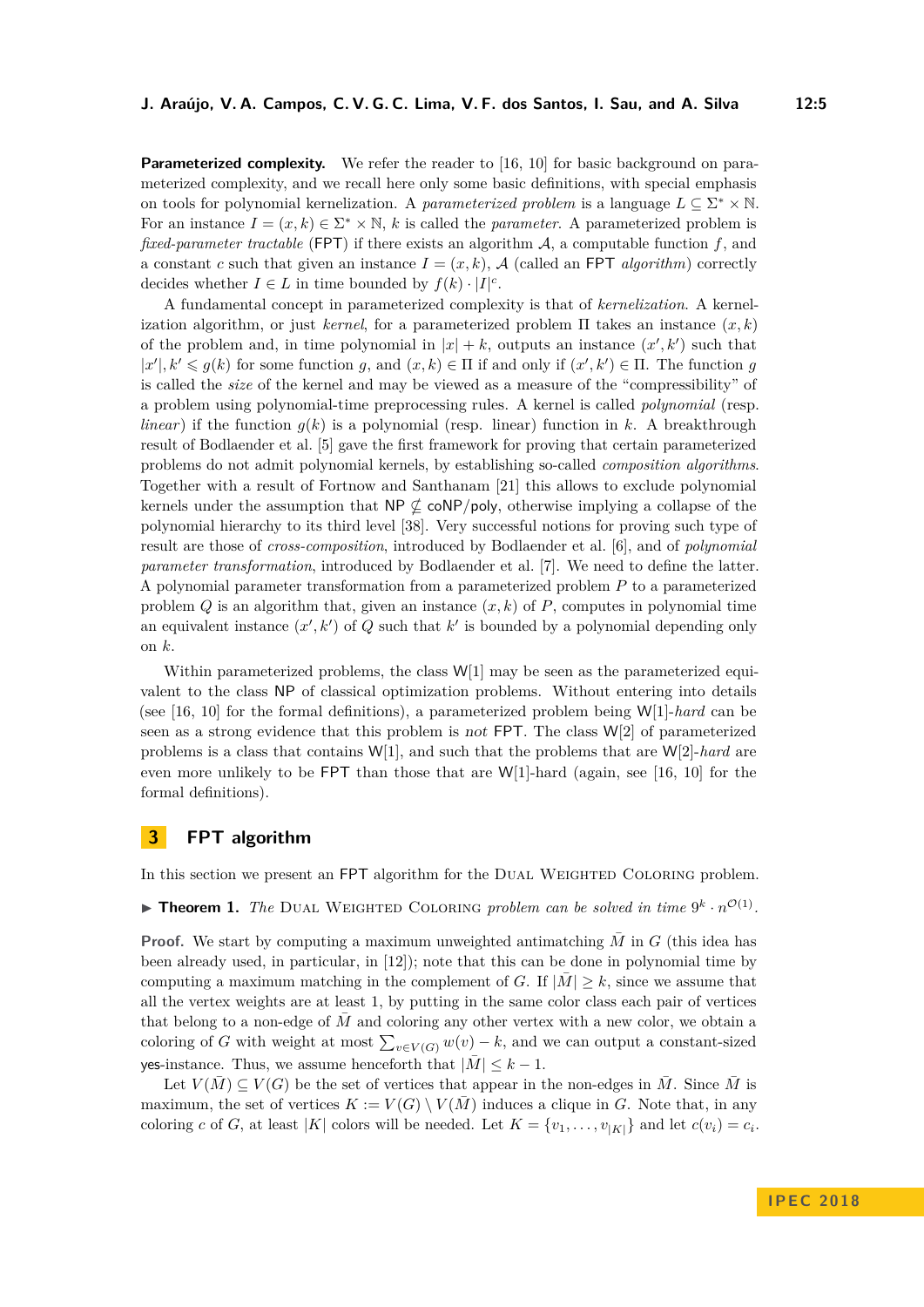**Parameterized complexity.** We refer the reader to [\[16,](#page-12-5) [10\]](#page-12-6) for basic background on parameterized complexity, and we recall here only some basic definitions, with special emphasis on tools for polynomial kernelization. A *parameterized problem* is a language  $L \subseteq \Sigma^* \times \mathbb{N}$ . For an instance  $I = (x, k) \in \Sigma^* \times \mathbb{N}$ , *k* is called the *parameter*. A parameterized problem is *fixed-parameter tractable* (FPT) if there exists an algorithm A, a computable function *f*, and a constant *c* such that given an instance  $I = (x, k)$ , A (called an FPT *algorithm*) correctly decides whether  $I \in L$  in time bounded by  $f(k) \cdot |I|^c$ .

A fundamental concept in parameterized complexity is that of *kernelization*. A kernelization algorithm, or just *kernel*, for a parameterized problem  $\Pi$  takes an instance  $(x, k)$ of the problem and, in time polynomial in  $|x| + k$ , outputs an instance  $(x', k')$  such that  $|x'|, k' \leq g(k)$  for some function *g*, and  $(x, k) \in \Pi$  if and only if  $(x', k') \in \Pi$ . The function *g* is called the *size* of the kernel and may be viewed as a measure of the "compressibility" of a problem using polynomial-time preprocessing rules. A kernel is called *polynomial* (resp. *linear*) if the function  $g(k)$  is a polynomial (resp. linear) function in k. A breakthrough result of Bodlaender et al. [\[5\]](#page-12-15) gave the first framework for proving that certain parameterized problems do not admit polynomial kernels, by establishing so-called *composition algorithms*. Together with a result of Fortnow and Santhanam [\[21\]](#page-13-14) this allows to exclude polynomial kernels under the assumption that  $NP \nsubseteq \text{coNP/poly}$ , otherwise implying a collapse of the polynomial hierarchy to its third level [\[38\]](#page-13-15). Very successful notions for proving such type of result are those of *cross-composition*, introduced by Bodlaender et al. [\[6\]](#page-12-16), and of *polynomial parameter transformation*, introduced by Bodlaender et al. [\[7\]](#page-12-17). We need to define the latter. A polynomial parameter transformation from a parameterized problem *P* to a parameterized problem  $Q$  is an algorithm that, given an instance  $(x, k)$  of  $P$ , computes in polynomial time an equivalent instance  $(x', k')$  of *Q* such that  $k'$  is bounded by a polynomial depending only on *k*.

Within parameterized problems, the class  $W[1]$  may be seen as the parameterized equivalent to the class NP of classical optimization problems. Without entering into details (see [\[16,](#page-12-5) [10\]](#page-12-6) for the formal definitions), a parameterized problem being W[1]-*hard* can be seen as a strong evidence that this problem is not FPT. The class W[2] of parameterized problems is a class that contains W[1], and such that the problems that are W[2]-*hard* are even more unlikely to be FPT than those that are W[1]-hard (again, see [\[16,](#page-12-5) [10\]](#page-12-6) for the formal definitions).

## <span id="page-4-0"></span>**3 FPT algorithm**

In this section we present an FPT algorithm for the DUAL WEIGHTED COLORING problem.

<span id="page-4-1"></span>**Fheorem 1.** The DUAL WEIGHTED COLORING problem can be solved in time  $9^k \cdot n^{\mathcal{O}(1)}$ .

**Proof.** We start by computing a maximum unweighted antimatching  $\overline{M}$  in *G* (this idea has been already used, in particular, in [\[12\]](#page-12-2)); note that this can be done in polynomial time by computing a maximum matching in the complement of *G*. If  $|\overline{M}| \geq k$ , since we assume that all the vertex weights are at least 1, by putting in the same color class each pair of vertices that belong to a non-edge of  $M$  and coloring any other vertex with a new color, we obtain a coloring of *G* with weight at most  $\sum_{v \in V(G)} w(v) - k$ , and we can output a constant-sized yes-instance. Thus, we assume henceforth that  $|\bar{M}| \leq k - 1$ .

Let  $V(\overline{M}) \subset V(G)$  be the set of vertices that appear in the non-edges in  $\overline{M}$ . Since  $\overline{M}$  is maximum, the set of vertices  $K := V(G) \setminus V(M)$  induces a clique in *G*. Note that, in any coloring *c* of *G*, at least |*K*| colors will be needed. Let  $K = \{v_1, \ldots, v_{|K|}\}\$ and let  $c(v_i) = c_i$ .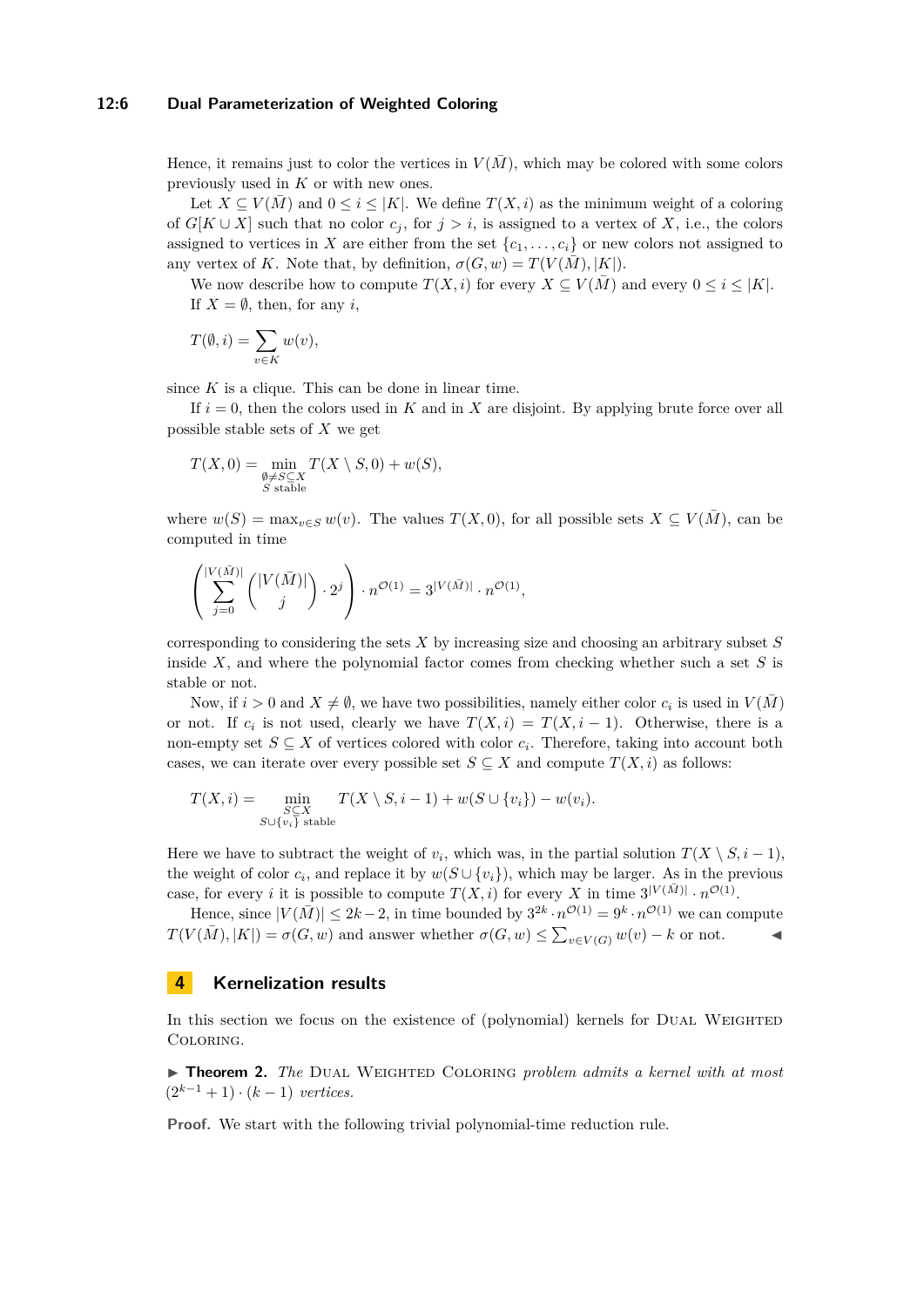## **12:6 Dual Parameterization of Weighted Coloring**

Hence, it remains just to color the vertices in  $V(\overline{M})$ , which may be colored with some colors previously used in *K* or with new ones.

Let  $X \subseteq V(M)$  and  $0 \leq i \leq |K|$ . We define  $T(X, i)$  as the minimum weight of a coloring of  $G[K \cup X]$  such that no color  $c_j$ , for  $j > i$ , is assigned to a vertex of X, i.e., the colors assigned to vertices in *X* are either from the set  $\{c_1, \ldots, c_i\}$  or new colors not assigned to any vertex of *K*. Note that, by definition,  $\sigma(G, w) = T(V(\overline{M}), |K|)$ .

We now describe how to compute  $T(X, i)$  for every  $X \subseteq V(\overline{M})$  and every  $0 \leq i \leq |K|$ . If  $X = \emptyset$ , then, for any *i*,

$$
T(\emptyset, i) = \sum_{v \in K} w(v),
$$

since  $K$  is a clique. This can be done in linear time.

If  $i = 0$ , then the colors used in *K* and in *X* are disjoint. By applying brute force over all possible stable sets of *X* we get

$$
T(X,0) = \min_{\substack{\emptyset \neq S \subseteq X \\ S \text{ stable}}} T(X \setminus S,0) + w(S),
$$

where  $w(S) = \max_{v \in S} w(v)$ . The values  $T(X, 0)$ , for all possible sets  $X \subseteq V(\overline{M})$ , can be computed in time

$$
\left(\sum_{j=0}^{|V(\bar{M})|} \binom{|V(\bar{M})|}{j} \cdot 2^j \right) \cdot n^{\mathcal{O}(1)} = 3^{|V(\bar{M})|} \cdot n^{\mathcal{O}(1)},
$$

corresponding to considering the sets *X* by increasing size and choosing an arbitrary subset *S* inside *X*, and where the polynomial factor comes from checking whether such a set *S* is stable or not.

Now, if  $i > 0$  and  $X \neq \emptyset$ , we have two possibilities, namely either color  $c_i$  is used in  $V(\overline{M})$ or not. If  $c_i$  is not used, clearly we have  $T(X, i) = T(X, i - 1)$ . Otherwise, there is a non-empty set  $S \subseteq X$  of vertices colored with color  $c_i$ . Therefore, taking into account both cases, we can iterate over every possible set  $S \subseteq X$  and compute  $T(X, i)$  as follows:

$$
T(X,i) = \min_{\substack{S \subseteq X \\ S \cup \{v_i\} \text{ stable}}} T(X \setminus S, i-1) + w(S \cup \{v_i\}) - w(v_i).
$$

Here we have to subtract the weight of  $v_i$ , which was, in the partial solution  $T(X \setminus S, i-1)$ , the weight of color  $c_i$ , and replace it by  $w(S \cup \{v_i\})$ , which may be larger. As in the previous case, for every *i* it is possible to compute  $T(X, i)$  for every *X* in time  $3^{|V(\bar{M})|} \cdot n^{\mathcal{O}(1)}$ .

Hence, since  $|V(\overline{M})| \leq 2k - 2$ , in time bounded by  $3^{2k} \cdot n^{\mathcal{O}(1)} = 9^k \cdot n^{\mathcal{O}(1)}$  we can compute  $T(V(\overline{M}), |K|) = \sigma(G, w)$  and answer whether  $\sigma(G, w) \le \sum_{v \in V(G)} w(v) - k$  or not.

# <span id="page-5-0"></span>**4 Kernelization results**

In this section we focus on the existence of (polynomial) kernels for DUAL WEIGHTED Coloring.

<span id="page-5-1"></span>**Findmen 2.** *The* DUAL WEIGHTED COLORING *problem admits a kernel with at most*  $(2^{k-1} + 1) \cdot (k-1)$  *vertices.* 

**Proof.** We start with the following trivial polynomial-time reduction rule.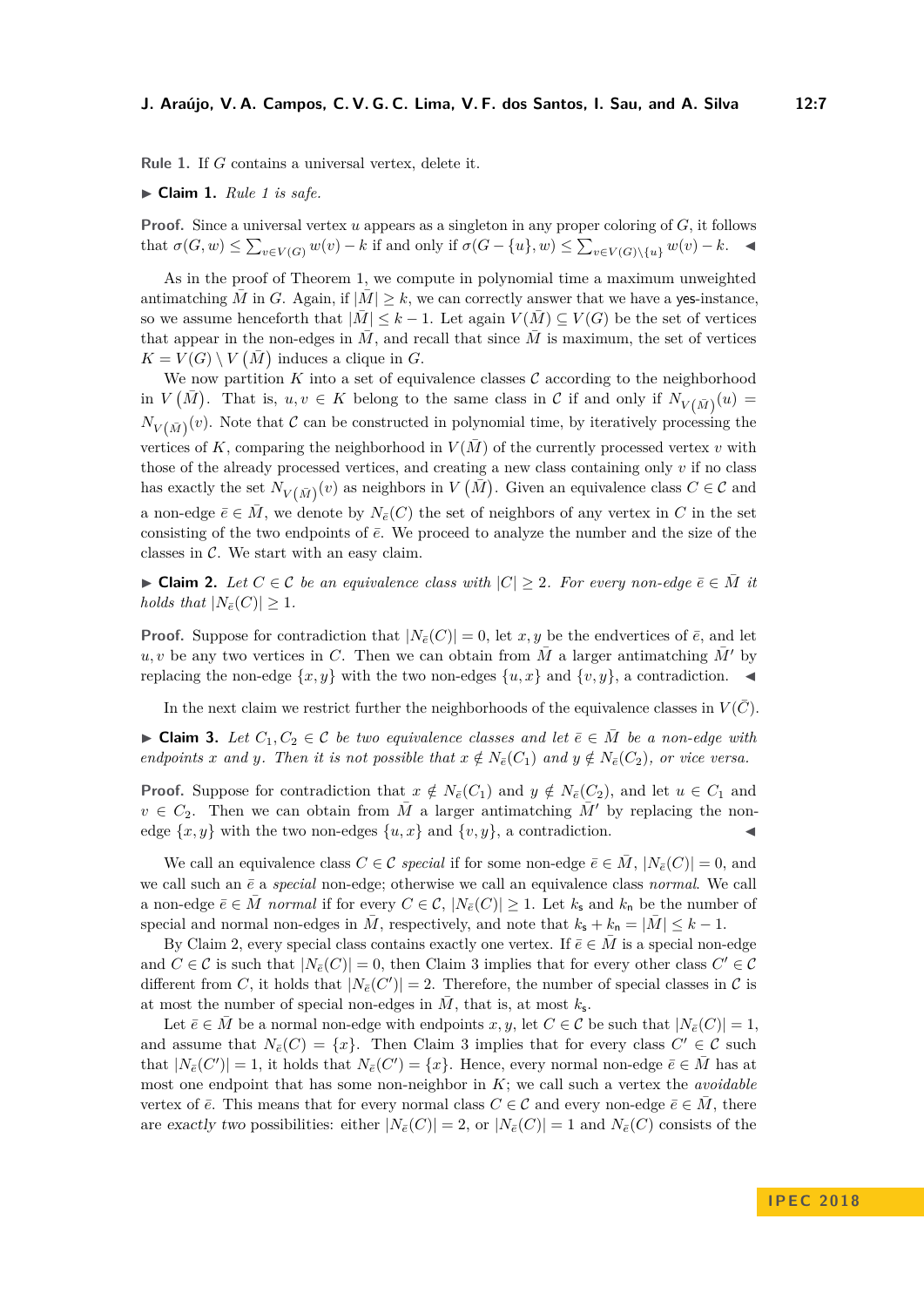**Rule 1.** If *G* contains a universal vertex, delete it.

#### $\blacktriangleright$  **Claim 1.** *Rule 1 is safe.*

**Proof.** Since a universal vertex *u* appears as a singleton in any proper coloring of *G*, it follows  $\text{that } \sigma(G, w) \leq \sum_{v \in V(G)} w(v) - k \text{ if and only if } \sigma(G - \{u\}, w) \leq \sum_{v \in V(G) \setminus \{u\}} w(v) - k.$   $\blacktriangleleft$ 

As in the proof of Theorem [1,](#page-4-1) we compute in polynomial time a maximum unweighted antimatching  $\overline{M}$  in *G*. Again, if  $|\overline{M}| > k$ , we can correctly answer that we have a yes-instance, so we assume henceforth that  $|\bar{M}| \leq k - 1$ . Let again  $V(\bar{M}) \subseteq V(G)$  be the set of vertices that appear in the non-edges in  $\overline{M}$ , and recall that since  $\overline{M}$  is maximum, the set of vertices  $K = V(G) \setminus V(\overline{M})$  induces a clique in *G*.

We now partition  $K$  into a set of equivalence classes  $\mathcal C$  according to the neighborhood in *V* ( $\overline{M}$ ). That is,  $u, v \in K$  belong to the same class in *C* if and only if  $N_{V(\overline{M})}(u) =$  $N_{V(\bar{M})}(v)$ . Note that C can be constructed in polynomial time, by iteratively processing the vertices of K, comparing the neighborhood in  $V(M)$  of the currently processed vertex *v* with those of the already processed vertices, and creating a new class containing only  $v$  if no class has exactly the set  $N_{V(\bar{M})}(v)$  as neighbors in  $V(\bar{M})$ . Given an equivalence class  $C \in \mathcal{C}$  and a non-edge  $\bar{e} \in \bar{M}$ , we denote by  $N_{\bar{e}}(C)$  the set of neighbors of any vertex in C in the set consisting of the two endpoints of  $\bar{e}$ . We proceed to analyze the number and the size of the classes in C. We start with an easy claim.

<span id="page-6-0"></span>► Claim 2. Let  $C \in \mathcal{C}$  be an equivalence class with  $|C| \geq 2$ . For every non-edge  $\overline{e} \in \overline{M}$  it *holds that*  $|N_{\bar{e}}(C)| \geq 1$ *.* 

**Proof.** Suppose for contradiction that  $|N_{\bar{e}}(C)| = 0$ , let *x*, *y* be the endvertices of  $\bar{e}$ , and let  $u, v$  be any two vertices in *C*. Then we can obtain from *M* a larger antimatching *M*<sup> $\prime$ </sup> by replacing the non-edge  $\{x, y\}$  with the two non-edges  $\{u, x\}$  and  $\{v, y\}$ , a contradiction.

In the next claim we restrict further the neighborhoods of the equivalence classes in  $V(\bar{C})$ .

<span id="page-6-1"></span>► Claim 3. Let  $C_1, C_2 \in \mathcal{C}$  be two equivalence classes and let  $\overline{e} \in \overline{M}$  be a non-edge with *endpoints x and y. Then it is not possible that*  $x \notin N_{\bar{e}}(C_1)$  *and*  $y \notin N_{\bar{e}}(C_2)$ *, or vice versa.* 

**Proof.** Suppose for contradiction that  $x \notin N_{\bar{e}}(C_1)$  and  $y \notin N_{\bar{e}}(C_2)$ , and let  $u \in C_1$  and  $v \in C_2$ . Then we can obtain from  $\overline{M}$  a larger antimatching  $\overline{M}$ <sup> $\prime$ </sup> by replacing the nonedge  $\{x, y\}$  with the two non-edges  $\{u, x\}$  and  $\{v, y\}$ , a contradiction.

We call an equivalence class  $C \in \mathcal{C}$  *special* if for some non-edge  $\bar{e} \in \bar{M}$ ,  $|N_{\bar{e}}(C)| = 0$ , and we call such an  $\bar{e}$  a *special* non-edge; otherwise we call an equivalence class *normal*. We call a non-edge  $\bar{e} \in \bar{M}$  *normal* if for every  $C \in \mathcal{C}$ ,  $|N_{\bar{e}}(C)| \geq 1$ . Let  $k_{\mathsf{s}}$  and  $k_{\mathsf{n}}$  be the number of special and normal non-edges in  $\overline{M}$ , respectively, and note that  $k_s + k_n = |\overline{M}| \leq k - 1$ .

By Claim [2,](#page-6-0) every special class contains exactly one vertex. If  $\bar{e} \in \bar{M}$  is a special non-edge and  $C \in \mathcal{C}$  is such that  $|N_{\bar{e}}(C)| = 0$ , then Claim [3](#page-6-1) implies that for every other class  $C' \in \mathcal{C}$ different from *C*, it holds that  $|N_{\bar{e}}(C')|=2$ . Therefore, the number of special classes in *C* is at most the number of special non-edges in  $\overline{M}$ , that is, at most  $k_{\mathsf{s}}$ .

Let  $\bar{e} \in \bar{M}$  be a normal non-edge with endpoints  $x, y$ , let  $C \in \mathcal{C}$  be such that  $|N_{\bar{e}}(C)| = 1$ , and assume that  $N_{\bar{e}}(C) = \{x\}$ . Then Claim [3](#page-6-1) implies that for every class  $C' \in \mathcal{C}$  such that  $|N_{\bar{e}}(C')|=1$ , it holds that  $N_{\bar{e}}(C')=\{x\}$ . Hence, every normal non-edge  $\bar{e}\in\bar{M}$  has at most one endpoint that has some non-neighbor in *K*; we call such a vertex the *avoidable* vertex of  $\bar{e}$ . This means that for every normal class  $C \in \mathcal{C}$  and every non-edge  $\bar{e} \in \bar{M}$ , there are exactly two possibilities: either  $|N_{\bar{e}}(C)| = 2$ , or  $|N_{\bar{e}}(C)| = 1$  and  $N_{\bar{e}}(C)$  consists of the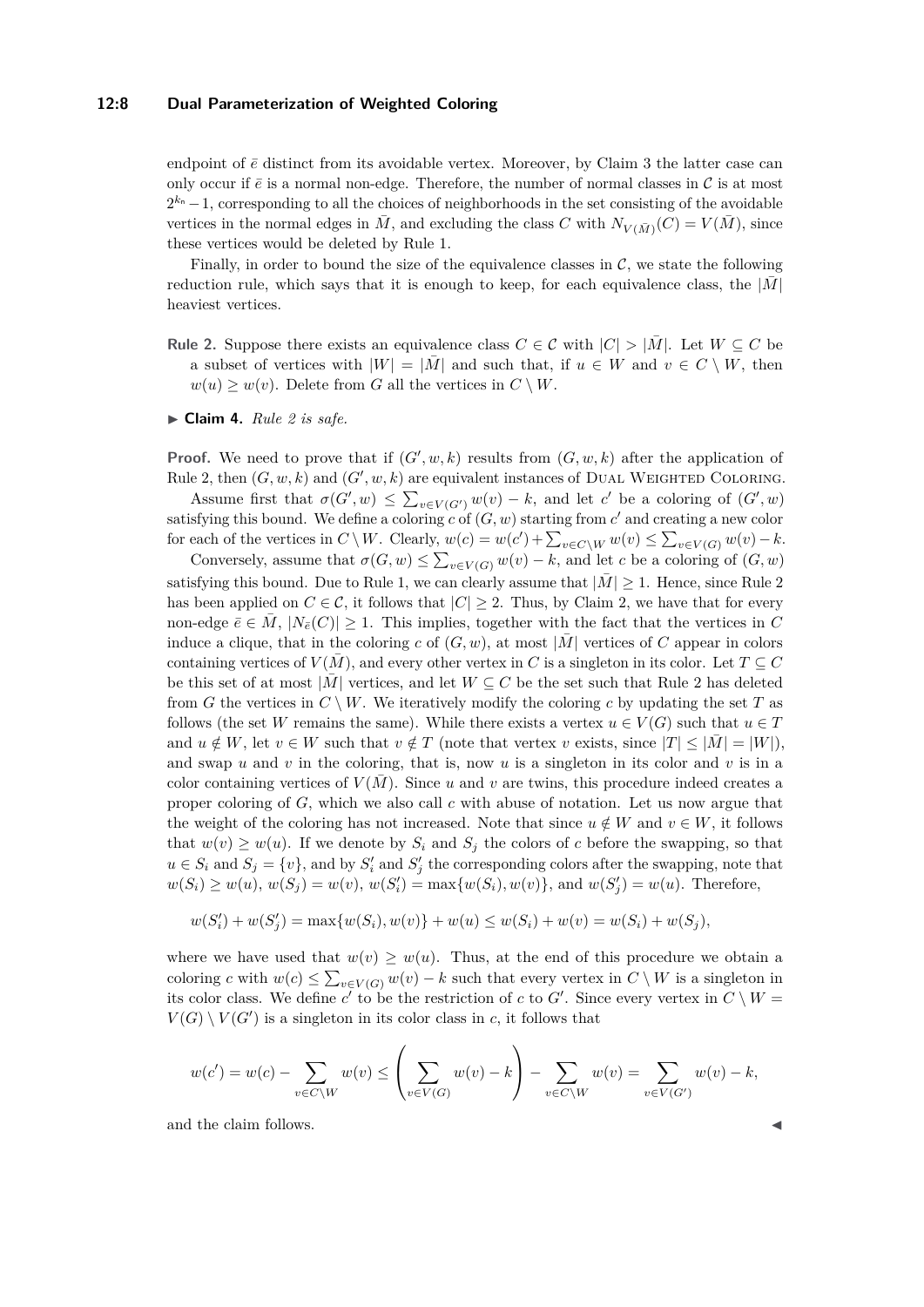## **12:8 Dual Parameterization of Weighted Coloring**

endpoint of  $\bar{e}$  distinct from its avoidable vertex. Moreover, by Claim [3](#page-6-1) the latter case can only occur if  $\bar{e}$  is a normal non-edge. Therefore, the number of normal classes in  $\mathcal C$  is at most  $2^{k_n}-1$ , corresponding to all the choices of neighborhoods in the set consisting of the avoidable vertices in the normal edges in  $\overline{M}$ , and excluding the class *C* with  $N_{V(\overline{M})}(C) = V(\overline{M})$ , since these vertices would be deleted by Rule 1.

Finally, in order to bound the size of the equivalence classes in  $\mathcal{C}$ , we state the following reduction rule, which says that it is enough to keep, for each equivalence class, the  $|\bar{M}|$ heaviest vertices.

- **Rule 2.** Suppose there exists an equivalence class  $C \in \mathcal{C}$  with  $|C| > |M|$ . Let  $W \subseteq C$  be a subset of vertices with  $|W| = |\overline{M}|$  and such that, if  $u \in W$  and  $v \in C \setminus W$ , then  $w(u) \geq w(v)$ . Delete from *G* all the vertices in  $C \setminus W$ .
- $\blacktriangleright$  **Claim 4.** *Rule 2 is safe.*

**Proof.** We need to prove that if  $(G', w, k)$  results from  $(G, w, k)$  after the application of Rule 2, then  $(G, w, k)$  and  $(G', w, k)$  are equivalent instances of DUAL WEIGHTED COLORING.

Assume first that  $\sigma(G', w) \leq \sum_{v \in V(G')} w(v) - k$ , and let *c*' be a coloring of  $(G', w)$ satisfying this bound. We define a coloring  $c$  of  $(G, w)$  starting from  $c'$  and creating a new color for each of the vertices in  $C \setminus W$ . Clearly,  $w(c) = w(c') + \sum_{v \in C \setminus W} w(v) \leq \sum_{v \in V(G)} w(v) - k$ .

Conversely, assume that  $\sigma(G, w) \le \sum_{v \in V(G)} w(v) - k$ , and let *c* be a coloring of  $(G, w)$ satisfying this bound. Due to Rule 1, we can clearly assume that  $|\overline{M}| \geq 1$ . Hence, since Rule 2 has been applied on  $C \in \mathcal{C}$ , it follows that  $|C| \geq 2$ . Thus, by Claim [2,](#page-6-0) we have that for every non-edge  $\bar{e} \in M$ ,  $|N_{\bar{e}}(C)| \geq 1$ . This implies, together with the fact that the vertices in *C* induce a clique, that in the coloring c of  $(G, w)$ , at most  $|M|$  vertices of C appear in colors containing vertices of  $V(M)$ , and every other vertex in *C* is a singleton in its color. Let  $T \subseteq C$ be this set of at most |*M*| vertices, and let  $W \subseteq C$  be the set such that Rule 2 has deleted from *G* the vertices in  $C \setminus W$ . We iteratively modify the coloring *c* by updating the set *T* as follows (the set *W* remains the same). While there exists a vertex  $u \in V(G)$  such that  $u \in T$ and  $u \notin W$ , let  $v \in W$  such that  $v \notin T$  (note that vertex *v* exists, since  $|T| \leq |M| = |W|$ ), and swap  $u$  and  $v$  in the coloring, that is, now  $u$  is a singleton in its color and  $v$  is in a color containing vertices of  $V(M)$ . Since *u* and *v* are twins, this procedure indeed creates a proper coloring of *G*, which we also call *c* with abuse of notation. Let us now argue that the weight of the coloring has not increased. Note that since  $u \notin W$  and  $v \in W$ , it follows that  $w(v) \geq w(u)$ . If we denote by  $S_i$  and  $S_j$  the colors of *c* before the swapping, so that  $u \in S_i$  and  $S_j = \{v\}$ , and by  $S'_i$  and  $S'_j$  the corresponding colors after the swapping, note that  $w(S_i) \ge w(u), w(S_j) = w(v), w(S_i') = \max\{w(S_i), w(v)\}\$ , and  $w(S_j') = w(u)$ . Therefore,

$$
w(S'_i) + w(S'_j) = \max\{w(S_i), w(v)\} + w(u) \le w(S_i) + w(v) = w(S_i) + w(S_j),
$$

where we have used that  $w(v) \geq w(u)$ . Thus, at the end of this procedure we obtain a coloring *c* with  $w(c) \le \sum_{v \in V(G)} w(v) - k$  such that every vertex in  $C \setminus W$  is a singleton in its color class. We define c' to be the restriction of c to G'. Since every vertex in  $C \setminus W =$  $V(G) \setminus V(G')$  is a singleton in its color class in *c*, it follows that

$$
w(c') = w(c) - \sum_{v \in C \setminus W} w(v) \le \left(\sum_{v \in V(G)} w(v) - k\right) - \sum_{v \in C \setminus W} w(v) = \sum_{v \in V(G')} w(v) - k,
$$

and the claim follows.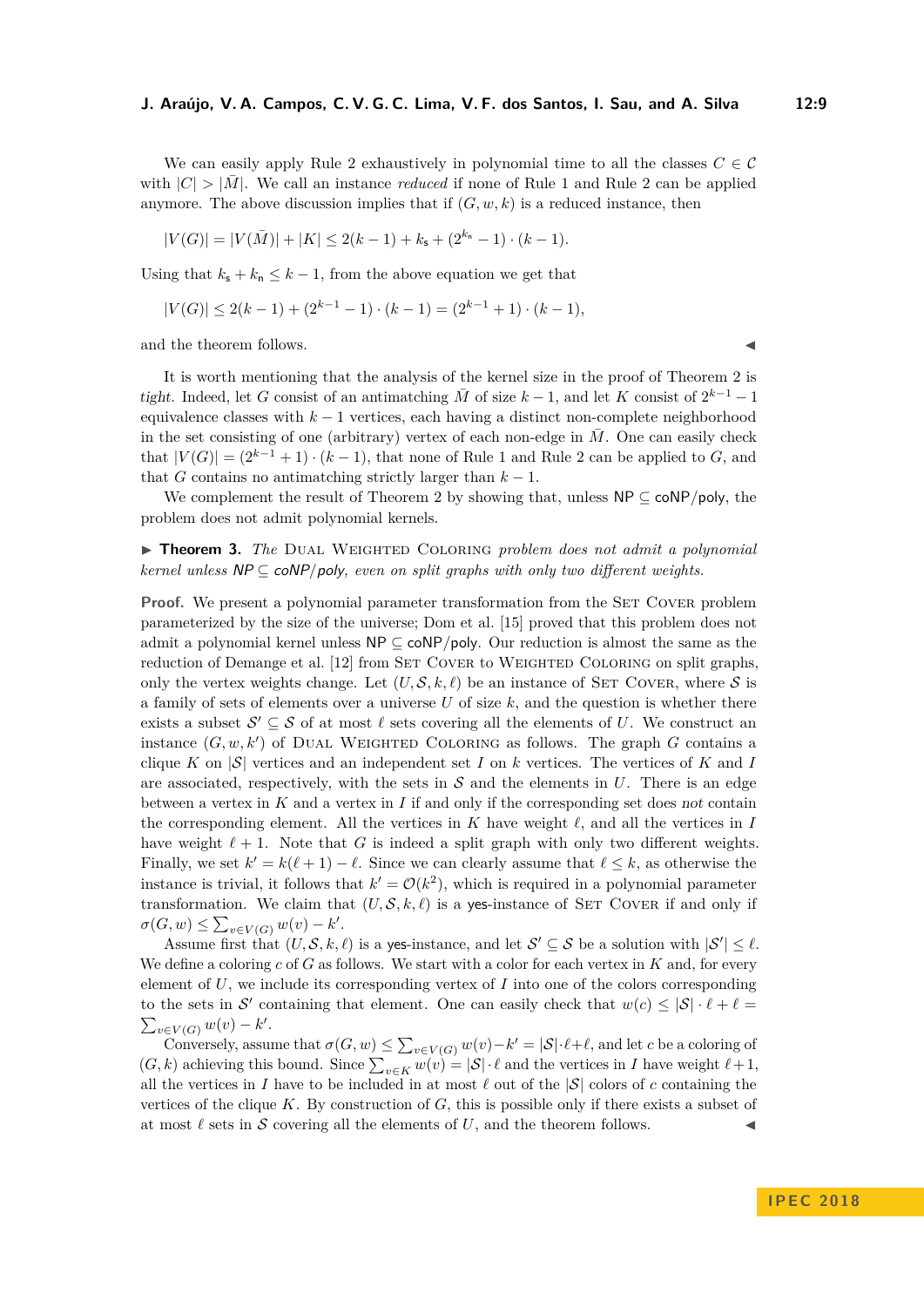We can easily apply Rule 2 exhaustively in polynomial time to all the classes  $C \in \mathcal{C}$ with  $|C| > |M|$ . We call an instance *reduced* if none of Rule 1 and Rule 2 can be applied anymore. The above discussion implies that if  $(G, w, k)$  is a reduced instance, then

$$
|V(G)| = |V(\bar{M})| + |K| \le 2(k-1) + k_{\mathsf{s}} + (2^{k_{\mathsf{n}}}-1) \cdot (k-1).
$$

Using that  $k_s + k_n \leq k - 1$ , from the above equation we get that

$$
|V(G)| \le 2(k-1) + (2^{k-1} - 1) \cdot (k-1) = (2^{k-1} + 1) \cdot (k-1),
$$

and the theorem follows.

It is worth mentioning that the analysis of the kernel size in the proof of Theorem [2](#page-5-1) is tight. Indeed, let *G* consist of an antimatching  $\overline{M}$  of size  $k-1$ , and let *K* consist of  $2^{k-1}-1$ equivalence classes with *k* − 1 vertices, each having a distinct non-complete neighborhood in the set consisting of one (arbitrary) vertex of each non-edge in  $\overline{M}$ . One can easily check that  $|V(G)| = (2^{k-1} + 1) \cdot (k-1)$ , that none of Rule 1 and Rule 2 can be applied to *G*, and that *G* contains no antimatching strictly larger than  $k - 1$ .

We complement the result of Theorem [2](#page-5-1) by showing that, unless  $NP \subseteq \text{coNP/poly}$ , the problem does not admit polynomial kernels.

<span id="page-8-0"></span>▶ **Theorem 3.** *The* DUAL WEIGHTED COLORING *problem does not admit a polynomial kernel unless* NP ⊆ coNP*/*poly*, even on split graphs with only two different weights.*

**Proof.** We present a polynomial parameter transformation from the SET COVER problem parameterized by the size of the universe; Dom et al. [\[15\]](#page-12-13) proved that this problem does not admit a polynomial kernel unless NP ⊆ coNP*/*poly. Our reduction is almost the same as the reduction of Demange et al. [\[12\]](#page-12-2) from SET COVER to WEIGHTED COLORING on split graphs. only the vertex weights change. Let  $(U, \mathcal{S}, k, \ell)$  be an instance of SET COVER, where S is a family of sets of elements over a universe *U* of size *k*, and the question is whether there exists a subset  $\mathcal{S}' \subseteq \mathcal{S}$  of at most  $\ell$  sets covering all the elements of *U*. We construct an instance  $(G, w, k')$  of DUAL WEIGHTED COLORING as follows. The graph *G* contains a clique *K* on  $|S|$  vertices and an independent set *I* on *k* vertices. The vertices of *K* and *I* are associated, respectively, with the sets in  $S$  and the elements in  $U$ . There is an edge between a vertex in *K* and a vertex in *I* if and only if the corresponding set does not contain the corresponding element. All the vertices in  $K$  have weight  $\ell$ , and all the vertices in  $I$ have weight  $\ell + 1$ . Note that *G* is indeed a split graph with only two different weights. Finally, we set  $k' = k(\ell + 1) - \ell$ . Since we can clearly assume that  $\ell \leq k$ , as otherwise the instance is trivial, it follows that  $k' = \mathcal{O}(k^2)$ , which is required in a polynomial parameter transformation. We claim that  $(U, \mathcal{S}, k, \ell)$  is a yes-instance of SET COVER if and only if  $\sigma(G, w) \leq \sum_{v \in V(G)} w(v) - k'.$ 

Assume first that  $(U, \mathcal{S}, k, \ell)$  is a yes-instance, and let  $\mathcal{S}' \subseteq \mathcal{S}$  be a solution with  $|\mathcal{S}'| \leq \ell$ . We define a coloring *c* of *G* as follows. We start with a color for each vertex in *K* and, for every element of *U*, we include its corresponding vertex of *I* into one of the colors corresponding to the sets in S' containing that element. One can easily check that  $w(c) \leq |\mathcal{S}| \cdot \ell + \ell =$  $\sum_{v \in V(G)} w(v) - k'$ .

Conversely, assume that  $\sigma(G, w) \le \sum_{v \in V(G)} w(v) - k' = |\mathcal{S}| \cdot \ell + \ell$ , and let *c* be a coloring of  $(G, k)$  achieving this bound. Since  $\sum_{v \in K} w(v) = |\mathcal{S}| \cdot \ell$  and the vertices in *I* have weight  $\ell + 1$ , all the vertices in *I* have to be included in at most  $\ell$  out of the  $|S|$  colors of *c* containing the vertices of the clique  $K$ . By construction of  $G$ , this is possible only if there exists a subset of at most  $\ell$  sets in  $\mathcal S$  covering all the elements of  $U$ , and the theorem follows.

$$
\blacksquare
$$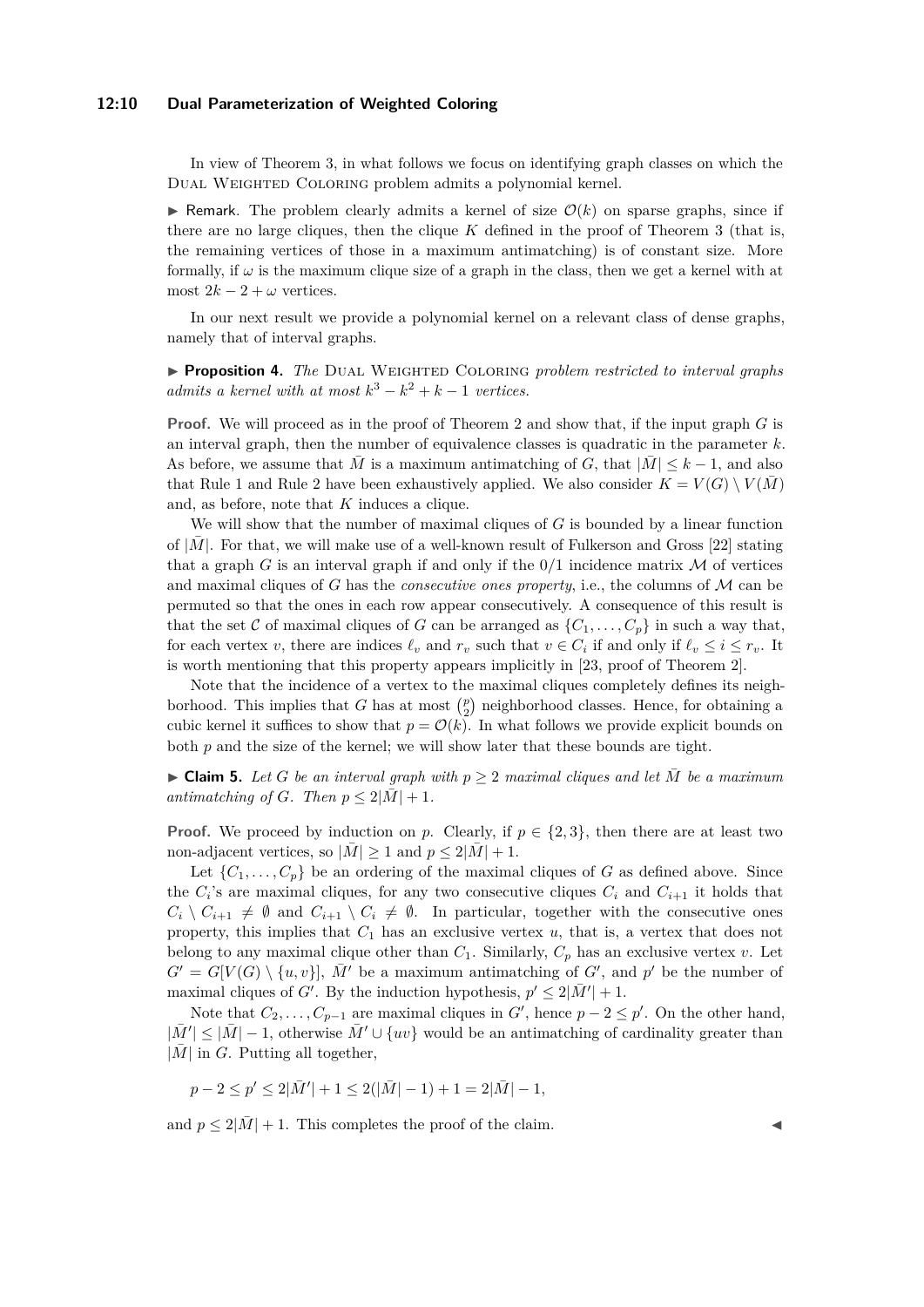## **12:10 Dual Parameterization of Weighted Coloring**

In view of Theorem [3,](#page-8-0) in what follows we focus on identifying graph classes on which the Dual Weighted Coloring problem admits a polynomial kernel.

**If Remark.** The problem clearly admits a kernel of size  $\mathcal{O}(k)$  on sparse graphs, since if there are no large cliques, then the clique *K* defined in the proof of Theorem [3](#page-8-0) (that is, the remaining vertices of those in a maximum antimatching) is of constant size. More formally, if  $\omega$  is the maximum clique size of a graph in the class, then we get a kernel with at most  $2k - 2 + \omega$  vertices.

In our next result we provide a polynomial kernel on a relevant class of dense graphs, namely that of interval graphs.

<span id="page-9-1"></span>**Proposition 4.** The DUAL WEIGHTED COLORING *problem restricted to interval graphs admits a kernel with at most*  $k^3 - k^2 + k - 1$  *vertices.* 

**Proof.** We will proceed as in the proof of Theorem [2](#page-5-1) and show that, if the input graph *G* is an interval graph, then the number of equivalence classes is quadratic in the parameter *k*. As before, we assume that  $\overline{M}$  is a maximum antimatching of *G*, that  $|\overline{M}| \leq k - 1$ , and also that Rule 1 and Rule 2 have been exhaustively applied. We also consider  $K = V(G) \setminus V(\overline{M})$ and, as before, note that *K* induces a clique.

We will show that the number of maximal cliques of *G* is bounded by a linear function of  $|M|$ . For that, we will make use of a well-known result of Fulkerson and Gross [\[22\]](#page-13-16) stating that a graph *G* is an interval graph if and only if the  $0/1$  incidence matrix  $M$  of vertices and maximal cliques of  $G$  has the *consecutive ones property*, i.e., the columns of  $M$  can be permuted so that the ones in each row appear consecutively. A consequence of this result is that the set C of maximal cliques of G can be arranged as  $\{C_1, \ldots, C_p\}$  in such a way that, for each vertex *v*, there are indices  $\ell_v$  and  $r_v$  such that  $v \in C_i$  if and only if  $\ell_v \leq i \leq r_v$ . It is worth mentioning that this property appears implicitly in [\[23,](#page-13-17) proof of Theorem 2].

Note that the incidence of a vertex to the maximal cliques completely defines its neighborhood. This implies that *G* has at most  $\binom{p}{2}$  neighborhood classes. Hence, for obtaining a cubic kernel it suffices to show that  $p = \mathcal{O}(k)$ . In what follows we provide explicit bounds on both *p* and the size of the kernel; we will show later that these bounds are tight.

<span id="page-9-0"></span>► Claim 5. Let *G* be an interval graph with  $p \geq 2$  maximal cliques and let  $\overline{M}$  be a maximum *antimatching of G. Then*  $p \leq 2|\bar{M}| + 1$ .

**Proof.** We proceed by induction on *p*. Clearly, if  $p \in \{2, 3\}$ , then there are at least two non-adjacent vertices, so  $|\bar{M}| \geq 1$  and  $p \leq 2|\bar{M}| + 1$ .

Let  $\{C_1, \ldots, C_p\}$  be an ordering of the maximal cliques of *G* as defined above. Since the  $C_i$ 's are maximal cliques, for any two consecutive cliques  $C_i$  and  $C_{i+1}$  it holds that  $C_i \setminus C_{i+1} \neq \emptyset$  and  $C_{i+1} \setminus C_i \neq \emptyset$ . In particular, together with the consecutive ones property, this implies that *C*<sup>1</sup> has an exclusive vertex *u*, that is, a vertex that does not belong to any maximal clique other than  $C_1$ . Similarly,  $C_p$  has an exclusive vertex  $v$ . Let  $G' = G[V(G) \setminus \{u, v\}], \overline{M}'$  be a maximum antimatching of  $G'$ , and  $p'$  be the number of maximal cliques of *G'*. By the induction hypothesis,  $p' \leq 2|\bar{M}'| + 1$ .

Note that  $C_2, \ldots, C_{p-1}$  are maximal cliques in *G'*, hence  $p-2 \leq p'$ . On the other hand,  $|\bar{M}'| \leq |\bar{M}|-1$ , otherwise  $\bar{M}' \cup \{uv\}$  would be an antimatching of cardinality greater than  $|M|$  in *G*. Putting all together,

$$
p-2\leq p'\leq 2|\bar{M}'|+1\leq 2(|\bar{M}|-1)+1=2|\bar{M}|-1,
$$

and  $p \leq 2|M| + 1$ . This completes the proof of the claim.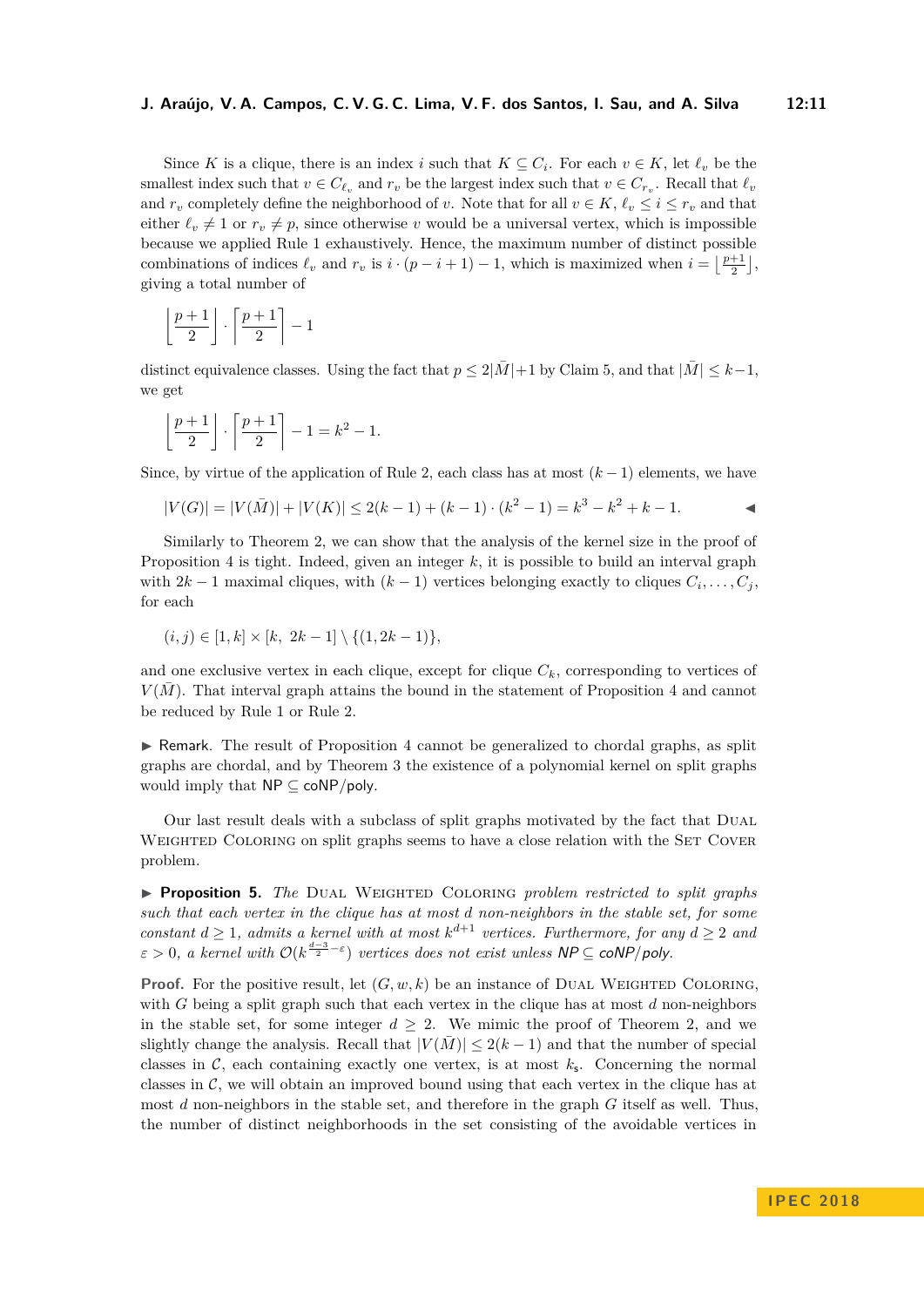Since *K* is a clique, there is an index *i* such that  $K \subseteq C_i$ . For each  $v \in K$ , let  $\ell_v$  be the smallest index such that  $v \in C_{\ell_v}$  and  $r_v$  be the largest index such that  $v \in C_{r_v}$ . Recall that  $\ell_v$ and  $r_v$  completely define the neighborhood of *v*. Note that for all  $v \in K$ ,  $\ell_v \leq i \leq r_v$  and that either  $\ell_v \neq 1$  or  $r_v \neq p$ , since otherwise *v* would be a universal vertex, which is impossible because we applied Rule 1 exhaustively. Hence, the maximum number of distinct possible combinations of indices  $\ell_v$  and  $r_v$  is  $i \cdot (p - i + 1) - 1$ , which is maximized when  $i = \lfloor \frac{p+1}{2} \rfloor$ , giving a total number of

$$
\left\lfloor \frac{p+1}{2} \right\rfloor \cdot \left\lceil \frac{p+1}{2} \right\rceil - 1
$$

distinct equivalence classes. Using the fact that  $p \leq 2|M|+1$  by Claim [5,](#page-9-0) and that  $|M| \leq k-1$ , we get

$$
\left\lfloor \frac{p+1}{2} \right\rfloor \cdot \left\lceil \frac{p+1}{2} \right\rceil - 1 = k^2 - 1.
$$

Since, by virtue of the application of Rule 2, each class has at most  $(k-1)$  elements, we have

$$
|V(G)| = |V(\bar{M})| + |V(K)| \le 2(k-1) + (k-1) \cdot (k^2 - 1) = k^3 - k^2 + k - 1.
$$

Similarly to Theorem [2,](#page-5-1) we can show that the analysis of the kernel size in the proof of Proposition [4](#page-9-1) is tight. Indeed, given an integer *k*, it is possible to build an interval graph with  $2k - 1$  maximal cliques, with  $(k - 1)$  vertices belonging exactly to cliques  $C_i, \ldots, C_j$ , for each

$$
(i,j) \in [1,k] \times [k, 2k-1] \setminus \{(1,2k-1)\},\
$$

and one exclusive vertex in each clique, except for clique  $C_k$ , corresponding to vertices of  $V(M)$ . That interval graph attains the bound in the statement of Proposition [4](#page-9-1) and cannot be reduced by Rule 1 or Rule 2.

 $\triangleright$  Remark. The result of Proposition [4](#page-9-1) cannot be generalized to chordal graphs, as split graphs are chordal, and by Theorem [3](#page-8-0) the existence of a polynomial kernel on split graphs would imply that NP ⊆ coNP*/*poly.

Our last result deals with a subclass of split graphs motivated by the fact that Dual WEIGHTED COLORING on split graphs seems to have a close relation with the SET COVER problem.

<span id="page-10-0"></span>**Proposition 5.** The DUAL WEIGHTED COLORING *problem restricted to split graphs such that each vertex in the clique has at most d non-neighbors in the stable set, for some constant*  $d \geq 1$ , admits a kernel with at most  $k^{d+1}$  vertices. Furthermore, for any  $d \geq 2$  and  $\varepsilon > 0$ , a kernel with  $\mathcal{O}(k^{\frac{d-3}{2}-\varepsilon})$  vertices does not exist unless  $\mathsf{NP} \subseteq \mathsf{coNP/poly}.$ 

**Proof.** For the positive result, let  $(G, w, k)$  be an instance of DUAL WEIGHTED COLORING, with *G* being a split graph such that each vertex in the clique has at most *d* non-neighbors in the stable set, for some integer  $d \geq 2$ . We mimic the proof of Theorem [2,](#page-5-1) and we slightly change the analysis. Recall that  $|V(M)| \leq 2(k-1)$  and that the number of special classes in  $\mathcal{C}$ , each containing exactly one vertex, is at most  $k_s$ . Concerning the normal classes in  $\mathcal{C}$ , we will obtain an improved bound using that each vertex in the clique has at most *d* non-neighbors in the stable set, and therefore in the graph *G* itself as well. Thus, the number of distinct neighborhoods in the set consisting of the avoidable vertices in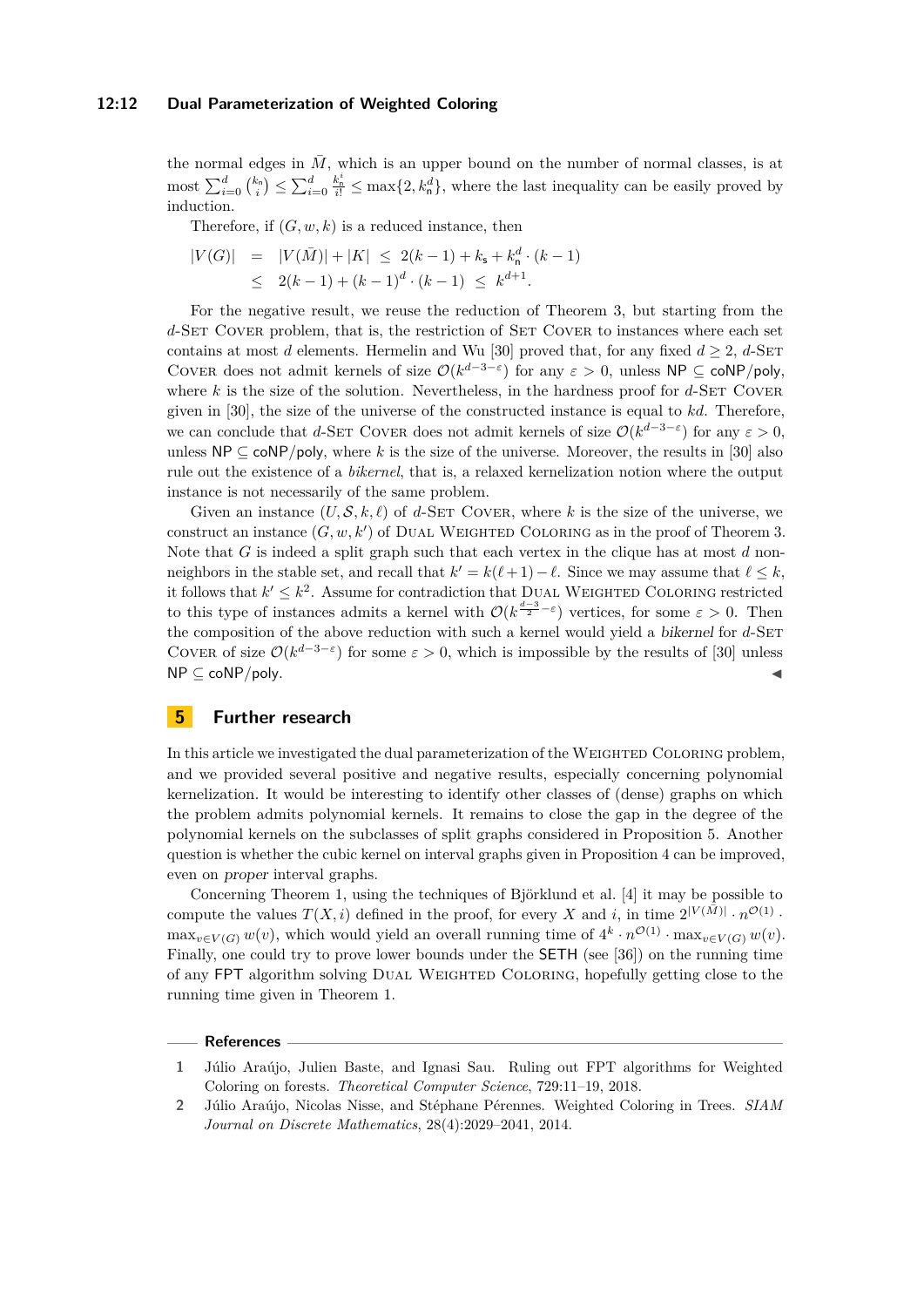## **12:12 Dual Parameterization of Weighted Coloring**

the normal edges in  $\overline{M}$ , which is an upper bound on the number of normal classes, is at most  $\sum_{i=0}^d \binom{k_n}{i} \leq \sum_{i=0}^d$  $\frac{k_0^i}{i!} \leq \max\{2, k_n^d\}$ , where the last inequality can be easily proved by induction.

Therefore, if  $(G, w, k)$  is a reduced instance, then

$$
|V(G)| = |V(\bar{M})| + |K| \le 2(k-1) + k_{\mathsf{s}} + k_{\mathsf{n}}^d \cdot (k-1)
$$
  
\n
$$
\le 2(k-1) + (k-1)^d \cdot (k-1) \le k^{d+1}.
$$

For the negative result, we reuse the reduction of Theorem [3,](#page-8-0) but starting from the *d*-SET COVER problem, that is, the restriction of SET COVER to instances where each set contains at most *d* elements. Hermelin and Wu [\[30\]](#page-13-18) proved that, for any fixed  $d \geq 2$ , *d*-SET COVER does not admit kernels of size  $\mathcal{O}(k^{d-3-\epsilon})$  for any  $\epsilon > 0$ , unless NP  $\subseteq \text{coNP/poly}$ , where  $k$  is the size of the solution. Nevertheless, in the hardness proof for  $d$ -SET COVER given in [\[30\]](#page-13-18), the size of the universe of the constructed instance is equal to *kd*. Therefore, we can conclude that *d*-SET COVER does not admit kernels of size  $\mathcal{O}(k^{d-3-\epsilon})$  for any  $\varepsilon > 0$ , unless  $\mathsf{NP} \subseteq \mathsf{coNP/poly}$ , where *k* is the size of the universe. Moreover, the results in [\[30\]](#page-13-18) also rule out the existence of a *bikernel*, that is, a relaxed kernelization notion where the output instance is not necessarily of the same problem.

Given an instance  $(U, \mathcal{S}, k, \ell)$  of *d*-SET COVER, where *k* is the size of the universe, we construct an instance  $(G, w, k')$  of DUAL WEIGHTED COLORING as in the proof of Theorem [3.](#page-8-0) Note that *G* is indeed a split graph such that each vertex in the clique has at most *d* nonneighbors in the stable set, and recall that  $k' = k(\ell + 1) - \ell$ . Since we may assume that  $\ell \leq k$ , it follows that  $k' \leq k^2$ . Assume for contradiction that DUAL WEIGHTED COLORING restricted to this type of instances admits a kernel with  $\mathcal{O}(k^{\frac{d-3}{2}-\varepsilon})$  vertices, for some  $\varepsilon > 0$ . Then the composition of the above reduction with such a kernel would yield a *bikernel* for *d*-SET COVER of size  $\mathcal{O}(k^{d-3-\epsilon})$  for some  $\epsilon > 0$ , which is impossible by the results of [\[30\]](#page-13-18) unless NP ⊆ coNP*/*poly. J

## <span id="page-11-2"></span>**5 Further research**

In this article we investigated the dual parameterization of the WEIGHTED COLORING problem, and we provided several positive and negative results, especially concerning polynomial kernelization. It would be interesting to identify other classes of (dense) graphs on which the problem admits polynomial kernels. It remains to close the gap in the degree of the polynomial kernels on the subclasses of split graphs considered in Proposition [5.](#page-10-0) Another question is whether the cubic kernel on interval graphs given in Proposition [4](#page-9-1) can be improved, even on proper interval graphs.

Concerning Theorem [1,](#page-4-1) using the techniques of Björklund et al. [\[4\]](#page-12-0) it may be possible to compute the values  $T(X, i)$  defined in the proof, for every X and *i*, in time  $2^{|V(\bar{M})|} \cdot n^{\mathcal{O}(1)}$ .  $\max_{v \in V(G)} w(v)$ , which would yield an overall running time of  $4^k \cdot n^{\mathcal{O}(1)} \cdot \max_{v \in V(G)} w(v)$ . Finally, one could try to prove lower bounds under the SETH (see [\[36\]](#page-13-13)) on the running time of any FPT algorithm solving Dual Weighted Coloring, hopefully getting close to the running time given in Theorem [1.](#page-4-1)

## **References**

<span id="page-11-1"></span>**<sup>1</sup>** Júlio Araújo, Julien Baste, and Ignasi Sau. Ruling out FPT algorithms for Weighted Coloring on forests. *Theoretical Computer Science*, 729:11–19, 2018.

<span id="page-11-0"></span>**<sup>2</sup>** Júlio Araújo, Nicolas Nisse, and Stéphane Pérennes. Weighted Coloring in Trees. *SIAM Journal on Discrete Mathematics*, 28(4):2029–2041, 2014.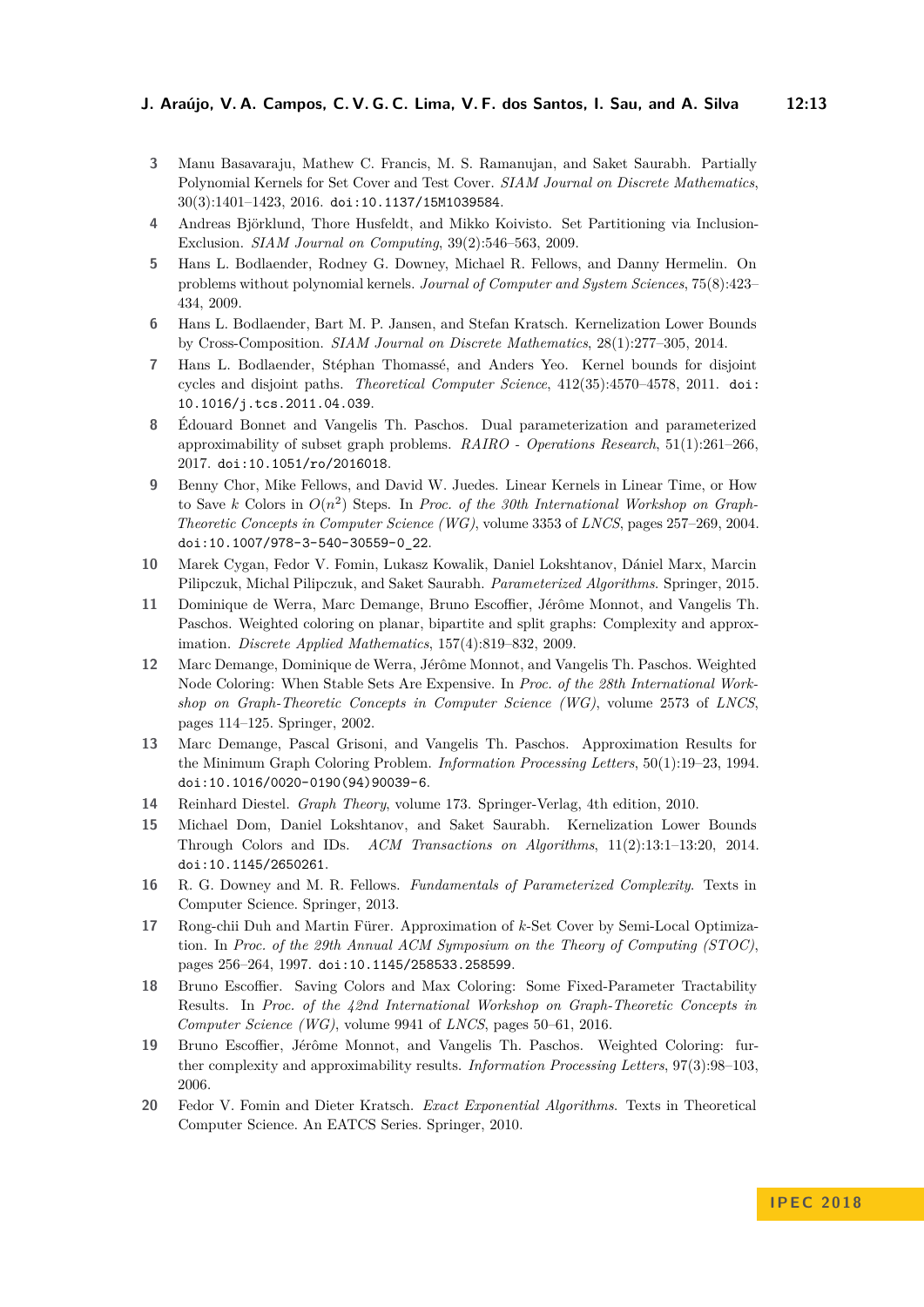- <span id="page-12-11"></span>**3** Manu Basavaraju, Mathew C. Francis, M. S. Ramanujan, and Saket Saurabh. Partially Polynomial Kernels for Set Cover and Test Cover. *SIAM Journal on Discrete Mathematics*, 30(3):1401–1423, 2016. [doi:10.1137/15M1039584](http://dx.doi.org/10.1137/15M1039584).
- <span id="page-12-0"></span>**4** Andreas Björklund, Thore Husfeldt, and Mikko Koivisto. Set Partitioning via Inclusion-Exclusion. *SIAM Journal on Computing*, 39(2):546–563, 2009.
- <span id="page-12-15"></span>**5** Hans L. Bodlaender, Rodney G. Downey, Michael R. Fellows, and Danny Hermelin. On problems without polynomial kernels. *Journal of Computer and System Sciences*, 75(8):423– 434, 2009.
- <span id="page-12-16"></span>**6** Hans L. Bodlaender, Bart M. P. Jansen, and Stefan Kratsch. Kernelization Lower Bounds by Cross-Composition. *SIAM Journal on Discrete Mathematics*, 28(1):277–305, 2014.
- <span id="page-12-17"></span>**7** Hans L. Bodlaender, Stéphan Thomassé, and Anders Yeo. Kernel bounds for disjoint cycles and disjoint paths. *Theoretical Computer Science*, 412(35):4570–4578, 2011. [doi:](http://dx.doi.org/10.1016/j.tcs.2011.04.039) [10.1016/j.tcs.2011.04.039](http://dx.doi.org/10.1016/j.tcs.2011.04.039).
- <span id="page-12-10"></span>**8** Édouard Bonnet and Vangelis Th. Paschos. Dual parameterization and parameterized approximability of subset graph problems. *RAIRO - Operations Research*, 51(1):261–266, 2017. [doi:10.1051/ro/2016018](http://dx.doi.org/10.1051/ro/2016018).
- <span id="page-12-9"></span>**9** Benny Chor, Mike Fellows, and David W. Juedes. Linear Kernels in Linear Time, or How to Save *k* Colors in  $O(n^2)$  Steps. In *Proc. of the 30th International Workshop on Graph-Theoretic Concepts in Computer Science (WG)*, volume 3353 of *LNCS*, pages 257–269, 2004. [doi:10.1007/978-3-540-30559-0\\_22](http://dx.doi.org/10.1007/978-3-540-30559-0_22).
- <span id="page-12-6"></span>**10** Marek Cygan, Fedor V. Fomin, Lukasz Kowalik, Daniel Lokshtanov, Dániel Marx, Marcin Pilipczuk, Michal Pilipczuk, and Saket Saurabh. *Parameterized Algorithms*. Springer, 2015.
- <span id="page-12-3"></span>**11** Dominique de Werra, Marc Demange, Bruno Escoffier, Jérôme Monnot, and Vangelis Th. Paschos. Weighted coloring on planar, bipartite and split graphs: Complexity and approximation. *Discrete Applied Mathematics*, 157(4):819–832, 2009.
- <span id="page-12-2"></span>**12** Marc Demange, Dominique de Werra, Jérôme Monnot, and Vangelis Th. Paschos. Weighted Node Coloring: When Stable Sets Are Expensive. In *Proc. of the 28th International Workshop on Graph-Theoretic Concepts in Computer Science (WG)*, volume 2573 of *LNCS*, pages 114–125. Springer, 2002.
- <span id="page-12-7"></span>**13** Marc Demange, Pascal Grisoni, and Vangelis Th. Paschos. Approximation Results for the Minimum Graph Coloring Problem. *Information Processing Letters*, 50(1):19–23, 1994. [doi:10.1016/0020-0190\(94\)90039-6](http://dx.doi.org/10.1016/0020-0190(94)90039-6).
- <span id="page-12-14"></span>**14** Reinhard Diestel. *Graph Theory*, volume 173. Springer-Verlag, 4th edition, 2010.
- <span id="page-12-13"></span>**15** Michael Dom, Daniel Lokshtanov, and Saket Saurabh. Kernelization Lower Bounds Through Colors and IDs. *ACM Transactions on Algorithms*, 11(2):13:1–13:20, 2014. [doi:10.1145/2650261](http://dx.doi.org/10.1145/2650261).
- <span id="page-12-5"></span>**16** R. G. Downey and M. R. Fellows. *Fundamentals of Parameterized Complexity*. Texts in Computer Science. Springer, 2013.
- <span id="page-12-8"></span>**17** Rong-chii Duh and Martin Fürer. Approximation of *k*-Set Cover by Semi-Local Optimization. In *Proc. of the 29th Annual ACM Symposium on the Theory of Computing (STOC)*, pages 256–264, 1997. [doi:10.1145/258533.258599](http://dx.doi.org/10.1145/258533.258599).
- <span id="page-12-1"></span>**18** Bruno Escoffier. Saving Colors and Max Coloring: Some Fixed-Parameter Tractability Results. In *Proc. of the 42nd International Workshop on Graph-Theoretic Concepts in Computer Science (WG)*, volume 9941 of *LNCS*, pages 50–61, 2016.
- <span id="page-12-4"></span>**19** Bruno Escoffier, Jérôme Monnot, and Vangelis Th. Paschos. Weighted Coloring: further complexity and approximability results. *Information Processing Letters*, 97(3):98–103, 2006.
- <span id="page-12-12"></span>**20** Fedor V. Fomin and Dieter Kratsch. *Exact Exponential Algorithms*. Texts in Theoretical Computer Science. An EATCS Series. Springer, 2010.